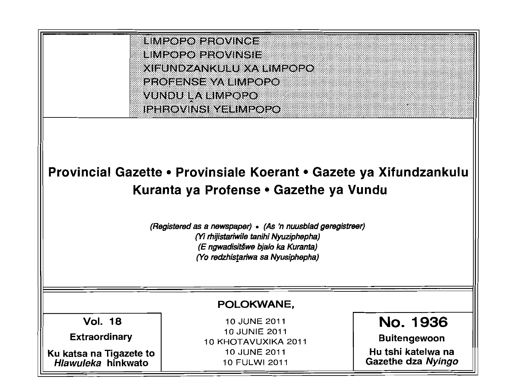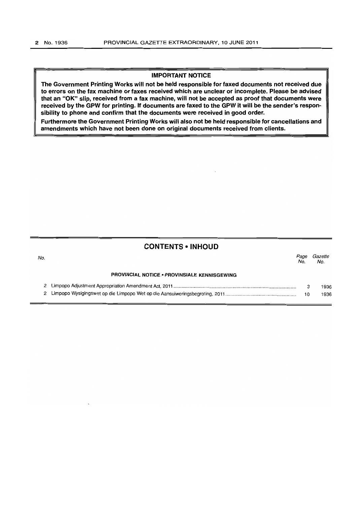### IMPORTANT NOTICE

The Government Printing Works will not be held responsible for faxed documents not received due to errors on the fax machine or faxes received which are unclear or incomplete. Please be advised that an "OK" slip, received from a fax machine, will not be accepted as proof that documents were received by the GPW for printing. If documents are faxed to the GPW it will be the sender's responsibility to phone and confirm that the documents were received in good order.

Furthermore the Government Printing Works will also not be held responsible for cancellations and amendments which have not been done on original documents received from clients.

### CONTENTS • INHOUD

| No. |                                                     | <i>Page</i><br>No. | <i>Gazette</i><br>No. |
|-----|-----------------------------------------------------|--------------------|-----------------------|
|     | <b>PROVINCIAL NOTICE . PROVINSIALE KENNISGEWING</b> |                    |                       |
|     |                                                     |                    | 1936                  |
|     |                                                     |                    | 1936                  |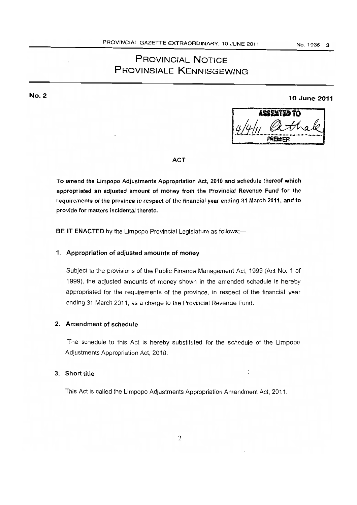# PROVINCIAL NOTICE PROVINSIALE KENNISGEWING

No.2

10 June 2011

| J |
|---|
|   |
|   |

### ACT

To amend the Limpopo Adjustments Appropriation Act, 2010 and schedule thereof which appropriated an adjusted amount of money from the Provincial Revenue Fund for the requirements of the province in respect of the financial year ending 31 March 2011, and to provide for matters incidental thereto.

BE IT ENACTED by the Limpopo Provincial Legislature as follows:-

### 1. Appropriation of adjusted amounts of money

Subject to the provisions of the Public Finance Management Act, 1999 (Act No.1 of 1999), the adjusted amounts of money shown in the amended schedule is hereby appropriated for the requirements of the province, in respect of the financial year ending 31 March 2011, as a charge to the Provincial Revenue Fund.

## 2. Amendment of schedule

The schedule to this Act is hereby substituted for the schedule of the Limpopo Adjustments Appropriation Act, 2010.

÷

# 3. Short title

This Act is called the Limpopo Adjustments Appropriation Amendment Act, 2011.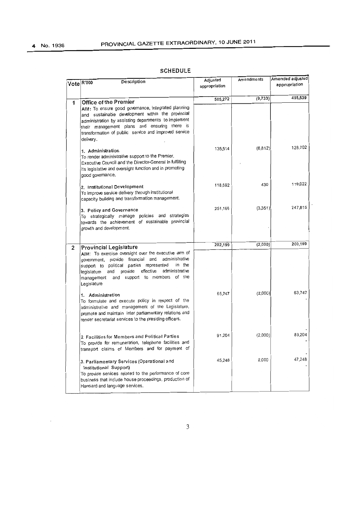$\sim 10^{-11}$ 

|              | Description<br>Vote R'000                                                                                                                                                                                                                                                                       | Adjusted<br>appropriation | Amendments | Amended adjusted<br>appropriation |
|--------------|-------------------------------------------------------------------------------------------------------------------------------------------------------------------------------------------------------------------------------------------------------------------------------------------------|---------------------------|------------|-----------------------------------|
| 1            | Office of the Premier                                                                                                                                                                                                                                                                           | 505,272                   | (9,733)    | 495,539                           |
|              | AIM: To ensure good governance, integrated planning<br>and sustainable development within the provincial<br>administration by assisting departments to implement<br>their management plans and ensuring there is<br>transformation of public service and improved service<br>delivery.          |                           |            |                                   |
|              | 1. Administration<br>To render administrative support to the Premier,<br>Executive Council and the Director-General in fulfilling<br>its legislative and oversight function and in promoting<br>good govemance.                                                                                 | 135,514                   | (6, 812)   | 128,702                           |
|              | 2. Institutional Development<br>To improve service delivery through institutional<br>capacity building and transformation management.                                                                                                                                                           | 118,592                   | 430        | 119,022                           |
|              | 3. Policy and Governance<br>To strategically manage policies and strategies<br>towards the achievement of sustainable provincial<br>growth and development.                                                                                                                                     | 251,166                   | (3, 351)   | 247,815                           |
| $\mathbf{2}$ | <b>Provincial Legislature</b>                                                                                                                                                                                                                                                                   | 202,199                   | (2,000)    | 200,199                           |
|              | AIM: To exercise oversight over the executive arm of<br>administrative<br>government, provide financial and<br>in the<br>support to political parties represented<br>administrative<br>effective<br>provide<br>and<br>legislature<br>and support to members of the<br>management<br>Legislature |                           |            |                                   |
|              | 1. Administration<br>To formulate and execute policy in respect of the<br>administrative and management of the Legislature,<br>promote and maintain inter parliamentary relations and<br>render secretariat services to the presiding officers.                                                 | 65,747                    | (2,000)    | 63,747                            |
|              | 2 Facilities for Members and Political Parties<br>To provide for remuneration, telephone facilities and<br>transport claims of Members and for payment of                                                                                                                                       | 91,204                    | (2,000)    | 89,204                            |
|              | 3. Parliamentary Services (Operational and<br>Institutional Support)<br>To provide services related to the performance of core<br>business that include house proceedings, production of<br>Hansard and language services.                                                                      | 45,248                    | 2,000      | 47,248                            |

# SCHEDULE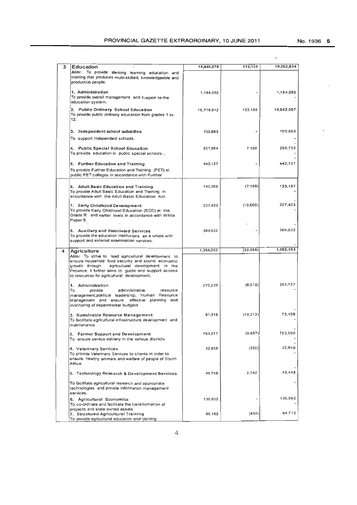No.1936 5

| 3 | Education                                                                                                                                                                                                                                                           | 19,440,679 | 112,155   | 19,552,834 |
|---|---------------------------------------------------------------------------------------------------------------------------------------------------------------------------------------------------------------------------------------------------------------------|------------|-----------|------------|
|   | Aim: To provide life-long learning education and<br>training that produces multi-skilled, knowledgeable and<br>productive people.                                                                                                                                   |            |           |            |
|   | 1. Administration<br>To provide overall management and support to the<br>education system.                                                                                                                                                                          | 1,184,592  |           | 1,184,592  |
|   | 2. Public Ordinary School Education<br>To provide public ordinary education from grades 1 to<br>12.                                                                                                                                                                 | 16,719,912 | 122,155   | 16,842,067 |
|   | 3. Independent school subsidies<br>To support independent schools.                                                                                                                                                                                                  | 100,663    |           | 100,663    |
|   | 4. Public Special School Education<br>To provide education in public special schools.                                                                                                                                                                               | 251,564    | 7,169     | 258,733    |
|   | 5. Further Education and Training<br>To provide Further Education and Training (FET) at<br>public FET colleges in accordance with Further                                                                                                                           | 442,127    |           | 442,127    |
|   | 6. Adult Basic Education and Training<br>To provide Adult Basic Education and Training in<br>accordance with the Adult Basic Education Act.                                                                                                                         | 140,366    | (7, 169)  | 133,197    |
|   | 7. Early Childhood Development<br>To provide Early Childhood Education (ECD) at the<br>Grade R and earlier levels in accordance with White<br>Paper 5.                                                                                                              | 237,423    | (10,000)  | 227.423    |
|   | 8. Auxiliary and Associated Services<br>To provide the education institutions as a whole with<br>support and external examination services.                                                                                                                         | 364.032    |           | 364,032    |
| 4 | Agriculture                                                                                                                                                                                                                                                         | 1,394,552  | (32, 389) | 1,362,163  |
|   | Aim: To strive to lead agricultural development to<br>ensure household food security and sound economic<br>agricultural development in the<br>growth through<br>Province. It further aims to guide and support access<br>to resources for agricultural development, |            |           |            |
|   | 1. Administration<br>provide<br>administrative<br>To<br>resource<br>management.political leadership, Human Resource<br>Management and ensure effective planning and<br>monitoring of departmental budgets                                                           | 270,239    | (6, 512)  | 263,727    |
|   | 2. Sustainable Resource Management<br>To facilitate agricultural infrastructure development and<br>maintenance                                                                                                                                                      | 91,318     | (18,212)  | 73,106     |
|   | 3. Farmer Support and Development<br>To ensure service delivery in the various districts                                                                                                                                                                            | 763,217    | (9,657)   | 753,560    |
|   | 4. Veterinary Services<br>To provide Veterinary Services to clients in order to<br>ensure healthy animals and welfare of people of South<br>Africa.                                                                                                                 | 32,958     | (300)     | 32,658     |
|   | 5. Technology Research & Development Services                                                                                                                                                                                                                       | 40,706     | 2.742     | 43,448     |
|   | To facilitate agricultural research and appropriate<br>technologies and provide information management<br>services.                                                                                                                                                 |            |           |            |
|   | 6. Agricultural Economics<br>To co-ordinate and facilitate the transformation of<br>projects and state owned assets.                                                                                                                                                | 130,952    |           | 130,952    |
|   | 7. Structured Agricultural Training<br>To provide agricultural education and training                                                                                                                                                                               | 65,162     | (450)     | 64,712     |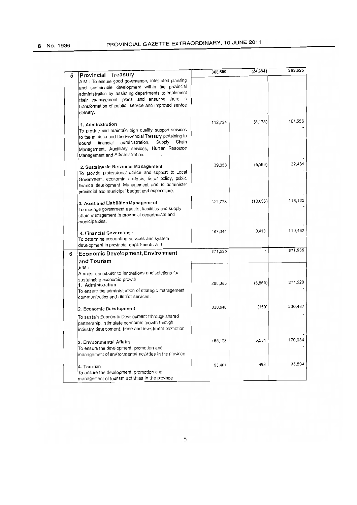|   |                                                                                                                                                                                                                                                                                                                | 388,609 | (24, 984) | 363,625 |
|---|----------------------------------------------------------------------------------------------------------------------------------------------------------------------------------------------------------------------------------------------------------------------------------------------------------------|---------|-----------|---------|
| 5 | Provincial Treasury<br>AIM : To ensure good governance, integrated planning<br>and sustainable development within the provincial<br>administration by assisting departments to implement<br>their management plans and ensuring there is<br>transformation of public service and improved service<br>delivery. |         |           |         |
|   | 1. Administration<br>To provide and maintain high quality support services<br>to the minister and the Provincial Treasury pertaining to<br>Chain<br>Supply<br>administration,<br>financial<br>sound<br>Management, Auxilliary services, Human Resource<br>Management and Administration.                       | 112,734 | (8.178)   | 104,556 |
|   | 2. Sustainable Resource Management<br>To provide professional advice and support to Local<br>Government, economic analysis, fiscal policy, public<br>finance development Management and to administer<br>provincial and municipal budget and expenditure.                                                      | 39,053  | (6, 569)  | 32,484  |
|   | 3. Asset and Liabilities Management<br>To manage government assets, liabilities and supply<br>chain management in provincial departments and<br>municipalities.                                                                                                                                                | 129,778 | (13.655)  | 116,123 |
|   | 4. Financial Governance<br>To determine accounting services and system<br>development in provincial departments and                                                                                                                                                                                            | 107,044 | 3,418     | 110,462 |
| 6 | <b>Economic Development, Environment</b><br>and Tourism<br>AlM:                                                                                                                                                                                                                                                | 871,535 |           | 871,535 |
|   | A major contributor to innovations and solutions for<br>sustainable economic growth<br>1. Administration<br>To ensure the administration of strategic management,<br>communication and district services.                                                                                                      | 280,385 | (5,865)   | 274,520 |
|   | 2. Economic Development                                                                                                                                                                                                                                                                                        | 330,646 | (159)     | 330,487 |
|   | To sustain Economic Development trhrough shared<br>partnership, stimulate economic growth through<br>industry development, trade and investment promotion                                                                                                                                                      |         |           |         |
|   | 3. Environmental Affairs<br>To ensure the development, promotion and<br>management of environmental activities in the province                                                                                                                                                                                 | 165,103 | 5,531     | 170,634 |
|   | 4. Tourism<br>To ensure the development, promotion and<br>management of tourism activities in the province                                                                                                                                                                                                     | 95,401  | 493       | 95,894  |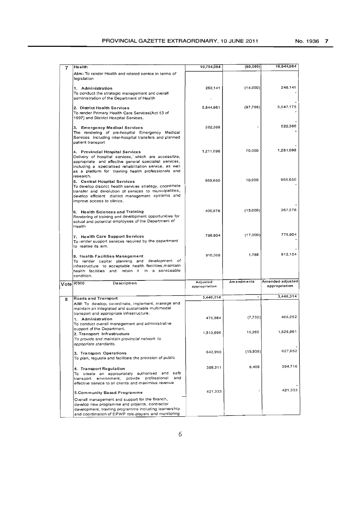| 7 | Health                                                                                                                                                                                                                                                                           | 10,704,084                | (60, 000)  | 10,644,084                        |
|---|----------------------------------------------------------------------------------------------------------------------------------------------------------------------------------------------------------------------------------------------------------------------------------|---------------------------|------------|-----------------------------------|
|   | Aim: To render Health and related service in terms of<br>legislation                                                                                                                                                                                                             |                           |            |                                   |
|   | 1. Administration<br>To conduct the strategic management and overall<br>administration of the Department of Health                                                                                                                                                               | 262,141                   | (14,000)   | 248,141                           |
|   | 2. District Health Services<br>To render Primary Health Care Services(Act 63 of<br>1997) and District Hospital Services.                                                                                                                                                         | 5,644,961                 | (97, 786)  | 5,547,175                         |
|   | 3. Emergency Medical Services<br>The rendering of pre-hospital Emergency Medical<br>Services including inter-hospital transfers and planned<br>patient transport                                                                                                                 | 522,386                   |            | 522,386                           |
|   | 4. Provincial Hospital Services<br>Delivery of hospital services, which are accessible,<br>appropriate and effective general specialist services,<br>including a specialised rehabilitation service, as well<br>as a platform for training health professionals and<br>research. | 1,211,096                 | 70,000     | 1,281,096                         |
|   | 5. Central Hospital Services<br>To develop discrict health services strategy, coordinate<br>transfer and devolution of services to municipalities,<br>develop efficient district management systems and<br>improve access to clinics.                                            | 955,650                   | 10,000     | 965,650                           |
|   | 6. Health Sciences and Training<br>Rendering of training and development opportunities for<br>actual and potential employees of the Department of<br>Health                                                                                                                      | 400,578                   | (13,000)   | 387,578                           |
|   | 7. Health Care Support Services<br>To render support services required by the department<br>to realise its aim.                                                                                                                                                                  | 796,904                   | (17,000)   | 779,904                           |
|   | 8. Health Facilities Management<br>To render capital planning and development of<br>infrastructure to acceptable health facilities, maintain<br>health facilities and retain it in a serviceable<br>condition.                                                                   | 910,368                   | 1,786      | 912,154                           |
|   | $Vote$ R'000<br>Description                                                                                                                                                                                                                                                      | Adjusted<br>appropriation | Amendments | Amended adjusted<br>appropriation |
|   |                                                                                                                                                                                                                                                                                  | 3,440,314                 |            | 3,440,314                         |
| 8 | Roads and Transport<br>AIM: To develop, co-ordinate, implement, manage and<br>maintain an integrated and sustainable multimodal<br>transport and appropriate infrastructure.                                                                                                     |                           |            |                                   |
|   | 1. Administration<br>To conduct overall management and administrative<br>support of the Department.                                                                                                                                                                              | 475,984                   | (7, 732)   | 468,252                           |
|   | 2. Transport Infrastructure<br>To provide and maintain provincial network to<br>appopriate standards.                                                                                                                                                                            | 1,513,696                 | 15,265     | 1,528,961                         |
|   | 3. Transport Operations<br>To plan, regulate and facilitate the provision of public                                                                                                                                                                                              | 642,990                   | (15,938)   | 627,052                           |
|   | 4. Transport Regulation<br>To create an appropriately authorised and safe<br>and<br>transport environment, provide professional<br>effective service to all clients and maximise revenue                                                                                         | 386,311                   | 8,405      | 394,716                           |
|   | 5.Community Based Programme<br>Overall management and support for the Branch,                                                                                                                                                                                                    | 421,333                   |            | 421,333                           |
|   | develop new programme and projects, contractor<br>development, training programme including learnership<br>and coordination of EPWP role-players and monitoring                                                                                                                  |                           |            |                                   |

6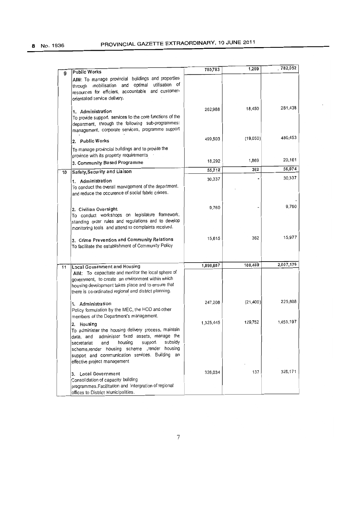|    | <b>Public Works</b>                                                                                                                                                                                                                                                                                                   | 780,783   | 1,269     | 782,052   |
|----|-----------------------------------------------------------------------------------------------------------------------------------------------------------------------------------------------------------------------------------------------------------------------------------------------------------------------|-----------|-----------|-----------|
| 9  | AIM: To manage provincial buildings and properties<br>mobilisation and optimal utilisation of<br>through<br>resources for efficient, accountable and customer-<br>orientated service delivery.                                                                                                                        |           |           |           |
|    | 1. Administration<br>To provide support services to the core functions of the<br>department, through the following sub-programmes:<br>management, corporate services, programme support                                                                                                                               | 262,988   | 18,450    | 281.438   |
|    | 2. Public Works                                                                                                                                                                                                                                                                                                       | 499,503   | (19,050)  | 480,453   |
|    | To manage provincial buildings and to provide the<br>province with its property requirements .<br>3. Community Based Programme                                                                                                                                                                                        | 18,292    | 1,869     | 20,161    |
| 10 | Safety, Security and Liaison                                                                                                                                                                                                                                                                                          | 55,712    | 362       | 56,074    |
|    | 1. Administration<br>To conduct the overall management of the department.<br>and reduce the occurence of social fabric crimes.                                                                                                                                                                                        | 30,337    |           | 30,337    |
|    | 2. Civilian Oversight<br>To conduct workshops on legislature framework,<br>standing order rules and regulations and to develop<br>monitoring tools and attend to complaints received.                                                                                                                                 | 9,760     |           | 9.760     |
|    | 3. Crime Prevention and Community Relations<br>To facilitate the establishment of Community Policy                                                                                                                                                                                                                    | 15,615    | 362       | 15,977    |
| 11 | <b>Local Government and Housing</b>                                                                                                                                                                                                                                                                                   | 1,898,687 | 108,489   | 2,007,176 |
|    | AIM: To capacitate and monitor the local sphere of<br>government, to create an environment within which<br>housing development takes place and to ensure that<br>there is co-ordinated regional and district planning.                                                                                                |           |           |           |
|    | 1. Administration<br>Policy formulation by the MEC, the HOD and other<br>members of the Department's management.                                                                                                                                                                                                      | 247,208   | (21, 400) | 225,808   |
|    | Housing<br>2.<br>To administer the housing delivery process, maintain<br>administer fixed assets, manage the<br>data, and<br>subsidy<br>housing<br>support<br>and<br>secretariat<br>scheme, render housing scheme , render housing<br>support and communication services. Building an<br>effective project management | 1,325,445 | 129,752   | 1,455,197 |
|    | 3. Local Government<br>Consolidation of capacity building<br>programmes. Facilitation and intergration of regional<br>offices to District Municipalities.                                                                                                                                                             | 326,034   | 137       | 326,171   |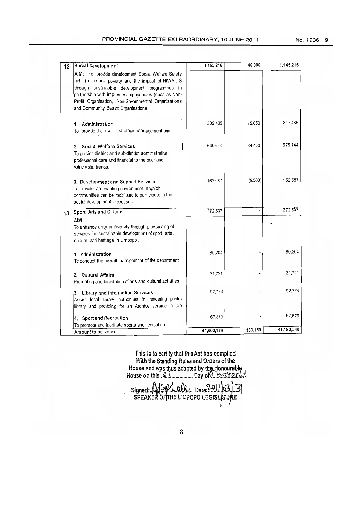| 12 | Social Development                                                                                                                                                                                                                                                                                          | 1,105,216  | 40,000  | 1,145,216  |
|----|-------------------------------------------------------------------------------------------------------------------------------------------------------------------------------------------------------------------------------------------------------------------------------------------------------------|------------|---------|------------|
|    | AIM: To provide development Social Welfare Safety<br>net. To reduce poverty and the impact of HIV/AIDS<br>through sustainable development programmes in<br>partnership with implementing agencies (such as Non-<br>Profit Organisation, Non-Govemmental Organisations<br>and Community Based Organisations. |            |         |            |
|    | 1. Administration<br>To provide the overall strategic management and                                                                                                                                                                                                                                        | 302,435    | 15,050  | 317,485    |
|    | 2. Social Welfare Services<br>To provide district and sub-district administrative,<br>professional care and financial to the poor and<br>winerable, trends,                                                                                                                                                 | 640,694    | 34,450  | 675,144    |
|    | 3. Development and Support Services<br>To provide an enabling environment in which<br>communities can be mobilized to participate in the<br>social development processes.                                                                                                                                   | 162,087    | (9,500) | 152,587    |
| 13 | Sport, Arts and Culture                                                                                                                                                                                                                                                                                     | 272,537    |         | 272,537    |
|    | AIM:<br>To enhance unity in diversity through provisioning of<br>services for sustainable development of sport, arts,<br>culture and heritage in Limpopo.                                                                                                                                                   |            |         |            |
|    | 1. Administration<br>To conduct the overall management of the department                                                                                                                                                                                                                                    | 80,204     |         | 80,204     |
|    | 2. Cultural Affairs<br>Promotion and facilitation of arts and cultural activities                                                                                                                                                                                                                           | 31,721     |         | 31,721     |
|    | 3. Library and Information Services<br>Assist local library authorities in rendering public<br>library and providing for an Archive serviice in the                                                                                                                                                         | 92,733     |         | 92,733     |
|    | 4. Sport and Recreation                                                                                                                                                                                                                                                                                     | 67,879     |         | 67,879     |
|    | To promote and facilitate sports and recreation                                                                                                                                                                                                                                                             | 41,060,179 | 133,169 | 41,193,348 |
|    | Amount to be voted                                                                                                                                                                                                                                                                                          |            |         |            |

This is to certify that this Act has oomplled With the Standing Rules and Orders of the House and was thus adopted by the Honourable  $\,$  ,  $\,$ House on this  $\mathbb{R}$ ................. Day of  $\mathbb{R}$ . least 12.com/

Signed:. MOV dlk. Date?2011 3.3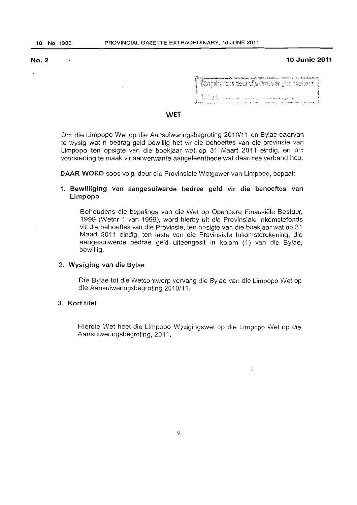### No.2 10 Junie 2011

| ala di sebagai termasan mempunya dan di sebagai dan sebagai dan mempunyakan termasan dan mempunyakan dan mempunyakan dan termasan dan termasan dan termasan dan termasan dan termasan dan dan dan dan termasan dan termasan da |  |
|--------------------------------------------------------------------------------------------------------------------------------------------------------------------------------------------------------------------------------|--|
| $\mathcal{R}$ ngalse teks detu dila Promier goodgekeur $\mathcal{R}$                                                                                                                                                           |  |
|                                                                                                                                                                                                                                |  |
|                                                                                                                                                                                                                                |  |
| - Parti                                                                                                                                                                                                                        |  |
| بالمستنقذ والمتواجدة المتوجب والمتحدث والمتحدث<br>$1.1 + 1.11 + 1.11$                                                                                                                                                          |  |

:

### WET

Om die Limpopo Wet op die Aansuiweringsbegroting 2010/11 en 8ylae daarvan te wysig wat n bedrag geld bewillig het vir die behoeftes *van* die provinsie van Limpopo ten opsigte van die boekjaar wat op 31 Maart 2011 eindig, en om voorsiening te maak vir aanverwante aangeleenthede wat daarmee verband hou.

DAAR WORD soos volg, deur die Provinsiale Wetgewer van Limpopo, bepaal:

# 1. Bewiliiging van aangesuiwerde bedrae geld vir die behaeftes van Limpopo

Behoudens die bepalings van die Wet op Openbare Finansiele Bestuur, 1999 (Wetnr 1 van 1999), word hierby uit die Provinsiale Inkomstefonds vir die behoeftes van die Provinsie, ten opsigte van die boekjaar wat op 31 Maart 2011 eindig, ten laste van die Provinsiale Inkomsterekening, die aangesuiwerde bedrae geld uiteengesit in kolom (1) van die Bylae, bewillig.

# 2. Wysiging van die Bylae

Die Bylae tot die Wetsontwerp vervang die Bylae van die Limpopo Wet op die Aansuiweringsbegroting 2010/11.

# 3. Kort titel

Hierdie Wet heet die Limpopo Wysigingswet op die Limpopo Wet op die Aansuiweringsbegroting, 2011.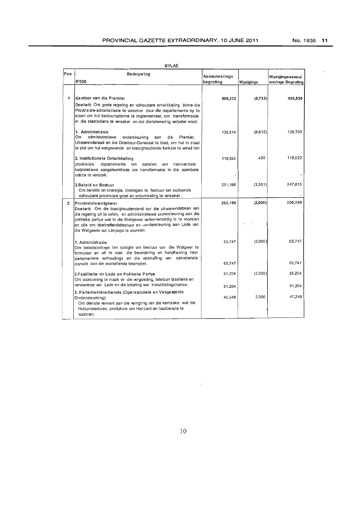|--|--|

| Pos | Beskrywing                                                                                                                                                                                                                                                                                                                                  | Aansuiwerings    |           | Wysigingsaansui   |
|-----|---------------------------------------------------------------------------------------------------------------------------------------------------------------------------------------------------------------------------------------------------------------------------------------------------------------------------------------------|------------------|-----------|-------------------|
|     | R'000                                                                                                                                                                                                                                                                                                                                       | begroting        | Wysigings | werings Begroting |
|     |                                                                                                                                                                                                                                                                                                                                             |                  |           |                   |
| 1   | Kantoor van die Premier<br>Doelwit: Om goeie regering en volhoubare ontwikkeling binne die<br>Provinsiale-administrasie te verseker deur die departemente by te<br>staan om hul bestuursplanne te implementeer, om transformasie<br>in die staatsdiens te verseker en dat dienslewering verbeter word.                                      | 505,272          | (9,733)   | 495,539           |
|     | 1. Administrasie<br>Om<br>administratiewe<br>ondersteuning<br>die<br>Premier,<br>aan<br>Uitvoerenderaad en die Direkteur-Generaal te bied, om hul in staat<br>te stel om hul wetgewende en toesighoudende funksie te vervul ten                                                                                                             | 135.514          | (6, 812)  | 128,702           |
|     | 2. Institutionele Ontwikkeling<br>provinsiale<br>departemente ten<br>aansien<br>transversale<br>van<br>korporatiewe aangeleenthede om transformasie in die openbare<br>sektor te versterk.                                                                                                                                                  | 118.592          | 430       | 119,022           |
|     | 3. Beleid en Bestuur<br>Om beleide en strategie, strategies te bestuur om sodoende<br>volhoubare provinsiale groei en ontwikkeling te verseker.                                                                                                                                                                                             | 251,166          | (3,351)   | 247,815           |
| 2   | Provinsialewetgewer<br>Doelwit: Om die toesighoudenderol oor die uitvoerendebeen van<br>die regering uit te oefen, en administratiewe ondersteuning aan die<br>politieke partye wat in die Wetgewer verteenwoordig is te voorsien<br>en ook om doeltreffendebestuur en -ondersteuning aan Lede van<br>die Wetgewer van Limpopo te voorsien. | 202,199          | (2,000)   | 200,199           |
|     | 1. Administrasie<br>Om beleidstellings ten opsigte van bestuur van die Wetgwer te<br>formuleer en uit te voer, die bevordering en handhawing inter<br>padementere verhoudings en die verskaffing van sekretariele                                                                                                                           | 65,747           | (2,000)   | 63.747            |
|     | dienste aan die voorsittende beamptes.                                                                                                                                                                                                                                                                                                      | 65.747           |           | 65,747            |
|     | 2.Fasiliteite vir Lede en Politieke Partye<br>Om voorsiening te maak vir die vergoeding, telefoon fasiliteite en<br>vervoereise van Lede en die betaling van kiesafdelingstoelae.                                                                                                                                                           | 91,204           | (2,000)   | 89,204            |
|     | 3. Parlementêredienste (Operasionele en Vasgestelde<br>Ondersteuning)<br>Om dienste verwant aan die verrigting van die kernsake wat die                                                                                                                                                                                                     | 91.204<br>45,248 | 2,000     | 91,204<br>47,248  |
|     | Huisprosedures, produksie van Hansard en taaldienste te<br>voorsien.                                                                                                                                                                                                                                                                        |                  |           |                   |

 $\hat{\mathcal{A}}$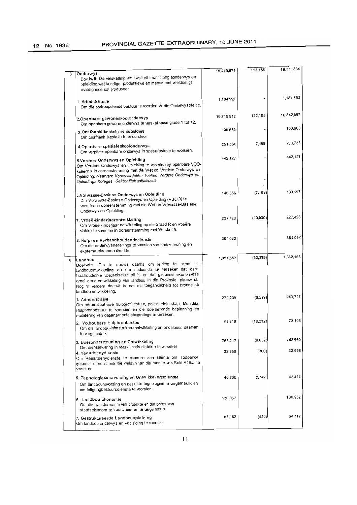|   |                                                                                                                                                                                                                                                                                                                                                           | 19,440,679 | 112,155   | 19,552,834 |
|---|-----------------------------------------------------------------------------------------------------------------------------------------------------------------------------------------------------------------------------------------------------------------------------------------------------------------------------------------------------------|------------|-----------|------------|
| 3 | Onderwys<br>Doelwit: Die verskaffing van kwaliteit lewenslang eonderwys en<br>opleiding, wat kundige, produktiewe en mense met veeldoelige<br>vaardighede sal produseer.                                                                                                                                                                                  |            |           |            |
|   | 1. Administrasie<br>Om die oorkoepelende bestuur te voorsien vir die Onderwysstelse.                                                                                                                                                                                                                                                                      | 1,184,592  |           | 1,184,592  |
|   | 2.Openbare gewoneskoolonderwys<br>Om openbare gewone onderwys te verskaf vanaf grade 1 tot 12.                                                                                                                                                                                                                                                            | 16,719,912 | 122,155   | 16,842,067 |
|   | 3.Onafhanklikeskole se subsidies<br>Om onafhanklikeskole te ondersteun.                                                                                                                                                                                                                                                                                   | 100,663    |           | 100,663    |
|   | 4. Openbare spesiales koolonderwys<br>Om verpligte openbare onderwys in spesialeskole te voorsien.                                                                                                                                                                                                                                                        | 251,564    | 7,169     | 258,733    |
|   | 5. Verdere Onderwys en Opleiding<br>Om Verdere Onderwys en Opleiding te voorsien by openbare VOO-<br>kolleges in ooreenstemming met die Wet op Verdere Onderwys en<br>Opleiding. Waarvan: Voorwaardelike Toelae: Verdere Onderwys en<br>Opleidings Koleges Sektor Rekapitalisasie                                                                         | 442,127    |           | 442,127    |
|   | 6.Volwasse-Basiese Onderwys en Opleiding<br>Om Volwasse-Basiese Onderwys en Opleiding (VBOO) te<br>voorsien in ooreenstemming met die Wet op Volwasse-Basiese<br>Onderwys en Opleiding.                                                                                                                                                                   | 140,366    | (7, 169)  | 133,197    |
|   | 7. Vroeë-kinderjaarontwikkeling<br>Om Vroeë-kinderjaar ontwikkeling op die Graad R en vroeëre<br>vlakke te voorsien in ooreenstemming met Witsknf 5.                                                                                                                                                                                                      | 237,423    | (10,000)  | 227,423    |
|   | 8. Hulp- en Verbandhoudendedienste<br>Om die onderwysinstellings te voorsien van ondersteuning en<br>eksteme eksamen dienste.                                                                                                                                                                                                                             | 364,032    |           | 364.032    |
| 4 | Landbou<br>Om te strewe daama om leiding te neem in<br>Doelwit:<br>landbouontwikkeling en om sodoende te verseker dat daar<br>huishoudelike voedselsekuriteit is en dat gesonde ekonomiese<br>groei deur ontwikkeling van landbou in die Provinsie, plaasvind.<br>Nog 'n verdere doelwit is om die toeganklikheid tot bronne vir<br>landbou ontwikkeling, | 1,394,552  | (32, 389) | 1,362,163  |
|   | 1. Administrasie<br>Om administratiewe hulpbronbestuur, politiekeleierskap, Menslike<br>Hulpbronbestuur te voorsien en die doeltreffende beplanning en<br>monitering van departementelebegrotings te verseker.                                                                                                                                            | 270,239    | (6, 512)  | 263,727    |
|   | 2. Volhoubare Hulpbronbestuur<br>Om die landbou-infrastruktuurontwikkeling en onderhoud daarvan<br>te vergemaklik                                                                                                                                                                                                                                         | 91,318     | (18, 212) | 73,106     |
|   | 3. Boerondersteuning en Ontwikkeling<br>Om dienslewering in verskillende distrikte te verseker                                                                                                                                                                                                                                                            | 763,217    | (9,657)   | 753,560    |
|   | 4. Veeartsenydienste<br>Om Veeartsenydienste te voorsien aan kliënte om sodoende<br>gesonde diere asook die welsyn van die mense van Suid-Afrika te<br>verseker.                                                                                                                                                                                          | 32,958     | (300)     | 32,658     |
|   | 5. Tegnologiesenavorsing en Ontwikkelingsdienste<br>Om landbounavorsing en geskikte tegnologieë te vergemaklik en<br>om inligtingbestuursdienste te voorsien.                                                                                                                                                                                             | 40,706     | 2.742     | 43,448     |
|   | 6. Landbou Ekonomie<br>Om die transformasie van projekte en die bates van<br>staatseiendom te koördineer en te vergemaklik                                                                                                                                                                                                                                | 130,952    |           | 130,952    |
|   | 7. Gestruktureerde Landbouopleiding                                                                                                                                                                                                                                                                                                                       | 65,162     | (450)     | 64,712     |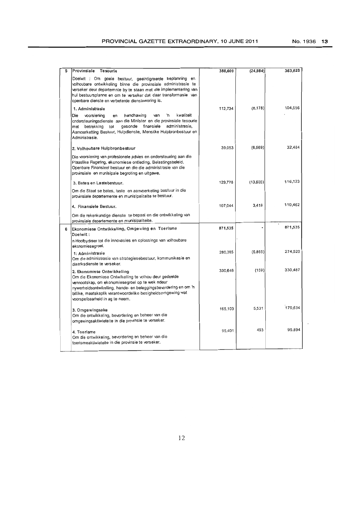| 5 | Provinsiale<br>Tesourie                                                                                                                                                                                                                                                                                               | 388,609 | (24, 984) | 363,625 |
|---|-----------------------------------------------------------------------------------------------------------------------------------------------------------------------------------------------------------------------------------------------------------------------------------------------------------------------|---------|-----------|---------|
|   | Doelwit : Om goeie bestuur, geeintigreerde beplanning en<br>volhoubare ontwikkeling binne die provinsiale administrasie te<br>verseker deur departemnte by te staan met die implementering van<br>hul bestuursplanne en om te verseker dat daar transformasie van<br>openbare dienste en verbeterde dienslewering is. |         |           |         |
|   | 1. Administrasie                                                                                                                                                                                                                                                                                                      | 112,734 | (8, 178)  | 104,556 |
|   | kwaliteit<br>Die<br>'n<br>voorsiening<br>handhawing<br>van<br>en<br>ondersteuningsdienste aan die Minister en die provinsiale tesourie<br>gesonde finansiele<br>administrasie,<br>met betrekking<br>tot<br>Aanvoerketting Bestuur, Hulpdienste, Menslike Hulpbronbestuur en<br>Administrasie.                         |         |           |         |
|   | 2. Volhoubare Hulpbronbestuur                                                                                                                                                                                                                                                                                         | 39.053  | (6, 569)  | 32,484  |
|   | Die voorsiening van profesionele advies en ondersteuning aan die<br>Plaaslike Regering, ekonomiese ontleding, Belastingsbeleid,<br>Openbare Finansieel bestuur en die die administrasie van die<br>provinsiale en munisipale begroting en uitgawe.                                                                    |         |           |         |
|   | 3. Bates en Lastebestuur.                                                                                                                                                                                                                                                                                             | 129,778 | (13,655)  | 116.123 |
|   | Om die Staat se bates, laste en aanvoerketing bestuur in die<br>provinsiale departemente en munisipaliteite te bestuur.                                                                                                                                                                                               |         |           |         |
|   | 4. Finansiele Bestuur.                                                                                                                                                                                                                                                                                                | 107,044 | 3.418     | 110,462 |
|   | Om die rekenkundige dienste te bepaal en die ontwikkeling van<br>provinsiale departemente en munisipaliteite.                                                                                                                                                                                                         |         |           |         |
| 6 | Ekonomiese Ontwikkeling, Omgewing en Toerisme<br>Doelwit:                                                                                                                                                                                                                                                             | 871,535 |           | 871,535 |
|   | n Hoofbydraer tot die innovasies en oplossings van volhoubare<br>ekonomiesegroei.                                                                                                                                                                                                                                     |         |           |         |
|   | 1: Administrasie<br>Om die administrasie van strategiesebestuur, kommunikasie en<br>distriksdienste te verseker.                                                                                                                                                                                                      | 280,385 | (5,865)   | 274,520 |
|   | 2. Ekonomiese Ontwikkeling<br>Om die Ekonomiese Ontwikelling te volhou deur gedeelde<br>vennootskap, om ekonomiesegroei op te wek ndeur<br>nywerheidsontwikelling, hande- en beleggingsbevordening en om 'n<br>billike, maatskaplik verantwoordelike besigheidsomgewing wat<br>voorspelbaarheid in ag te neem.        | 330.646 | (159)     | 330.487 |
|   | 3. Omgewingsake<br>Om die ontwikkeling, bevordening en beheer van die<br>omgewingsaktiwieteite in die provinsie te verseker.                                                                                                                                                                                          | 165,103 | 5,531     | 170,634 |
|   | 4. Toerisme<br>Om die ontwikkeling, bevordering en beheer van die<br>toensmeaktiwieteite in die provinsie te verseker.                                                                                                                                                                                                | 95,401  | 493       | 95,894  |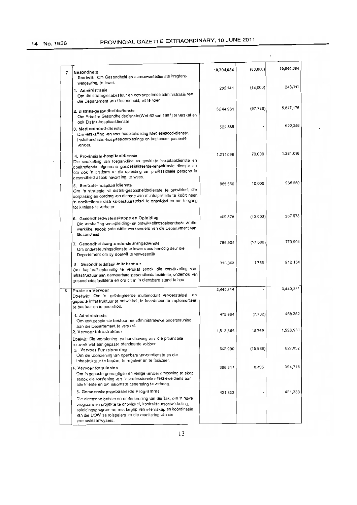J.

 $\overline{a}$ 

 $\cdot$ 

|   |                                                                                                                                                                                                                                                                                     |            |           | 10,644,084           |
|---|-------------------------------------------------------------------------------------------------------------------------------------------------------------------------------------------------------------------------------------------------------------------------------------|------------|-----------|----------------------|
| 7 | Gesondheid<br>Doelwit: Om Gesondheid en aanverwantedienste kragtens<br>wetgewing, te lewer.                                                                                                                                                                                         | 10,704,084 | (000, 00) |                      |
|   | 1. Administrasie<br>Om die strategiesebestuur en oorkoepelende administrasie van<br>die Departement van Gesondheid, uit te voer                                                                                                                                                     | 262,141    | (14,000)  | 248,141              |
|   | 2. Distriks-gesondheidsdienste<br>Om Primêre Gesondheidsdienste(Wet 63 van 1997) te verskaf en<br>ook Distrik-hospitaaldienste                                                                                                                                                      | 5,644,961  | (97, 786) | 5,547,175<br>522,386 |
|   | 3. Mediesenood-dienste<br>Die verskaffing van voor-hospitalisering Mediesenood-dienste,<br>insluitend inter-hospitaaloorplasings en beplande- pasiënte<br>vervoer.                                                                                                                  | 522,386    |           |                      |
|   | 4. Provinsiale-hospitaaldienste<br>Die verskaffing van toeganklike en geskikte hospitaaldienste en<br>doeltreffende algemene gespesialiseerde-rehabilitasie dienste en<br>om ook 'n platform vir die opleiding van professionele persone in<br>gesondheid asook navorsing, te wees. | 1,211,096  | 70,000    | 1,281,096            |
|   | 5. Sentrale-hospitaaldienste<br>Om 'n strategie vir distrik-gesondheidsdienste te ontwikkel, die<br>oorplasing en oordrag van dienste aan munisipaliteite te koördineer,<br>'n doeltreffende distriks-bestuurstelsel te ontwikkel en om toegang<br>tot klinieke te verbeter         | 955,650    | 10,000    | 965,650              |
|   | 6. Gesondheidwetenskappe en Opleiding<br>Die verskaffing van opleiding- en ontwikkelingsgeleenthede vir die<br>werklike, asook potensiële werknemers van die Departement van<br>Gesondheid                                                                                          | 400,578    | (13,000)  | 387,578              |
|   | 7. Gesondheidsorg-ondersteuningsdienste<br>Om ondersteuningsdienste te lewer soos benodig deur die<br>Departement om sy doelwit te verwesenlik                                                                                                                                      | 796,904    | (17,000)  | 779,904              |
|   | 8. Gesondheidsfasiliteitebestuur<br>Om kapitaalbeplanning te verskaf asook die ontwikkeling van<br>infrastruktuur aan aanvaarbare gesondheidsfasiliteite, onderhou van<br>gesondheidsfasiliteite en om dit in 'n diensbare stand te hou                                             | 910,368    | 1,786     | 912,154              |
| 8 | Paaie en Vervoer<br>Doelwit: Om 'n geïntegreerde multimodale vervoerstelsel<br>en<br>gepaste infrastruktuur te ontwikkel, te koordineer, te implementeer,<br>te bestuur en te onderhou.                                                                                             | 3,440,314  |           | 3,440,314            |
|   | 1. Administrasie<br>Om oorkoepelende bestuur en administratiewe ondersteuning<br>aan die Departement te verskaf.                                                                                                                                                                    | 475,984    | (7, 732)  | 468,252              |
|   | 2. Vervoer infrastruktuur<br>Doelwit: Die voorsiening en handhawing van die provinsaile                                                                                                                                                                                             | 1,513,696  | 15,265    | 1,528,961            |
|   | netwerk wat aan gepaste standaarde voldoen.<br>3. Vervoer Funksionering<br>Om die voorsiening van openbare vervoerdienste en die<br>infrastruktuur te beplan, te reguleer en te fasiliteer.                                                                                         | 642,990    | (15,938)  | 627,052              |
|   | 4. Vervoer Regulasies<br>Om 'n gepaste gemagtigde en veilige vervoer omgewing te skep<br>asook die vorsiening van 'n professionele effektiewe diens aan<br>alle kliente en om inkomste generening te verhoog.                                                                       | 386,311    | 8,405     | 394,716              |
|   | 5. Gemeenskapsgebaseerde Programme                                                                                                                                                                                                                                                  | 421,333    |           | 421,333              |
|   | Die algemene beheer en onderseuning van die Tak, om 'n nuwe<br>prograam en projekte te ontwikkel, kontrakteursontwikkeling,<br>opleidingsprogramme met begrip van internskap en koördinasie<br>van die UOW se rolspelers en die monitering van die<br>prestasieaanwysers.           |            |           |                      |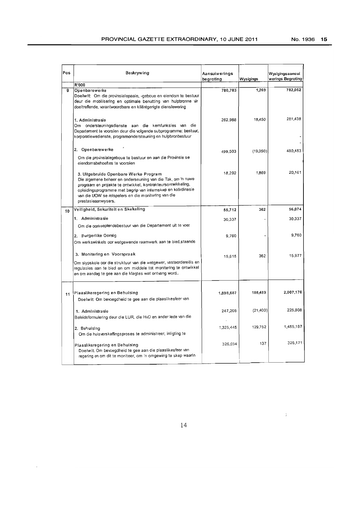$\frac{1}{2}$ 

| Pos | Beskrywing                                                                                                                                                                                                                                                                                                         | Aansuiwerings<br>begroting | Wysigings | Wysigingsaansui<br>werings Begroting |
|-----|--------------------------------------------------------------------------------------------------------------------------------------------------------------------------------------------------------------------------------------------------------------------------------------------------------------------|----------------------------|-----------|--------------------------------------|
|     | R'000                                                                                                                                                                                                                                                                                                              |                            |           |                                      |
| 9   | Openbarewerke<br>Doelwit: Om die provinsialepaaie, -geboue en eiendom te bestuur<br>deur die mobilisering en optimale benutting van hulpbronne vir<br>doeltreffende, verantwoordbare en kliëntgerigte dienslewering                                                                                                | 780,783                    | 1.269     | 782,052                              |
|     | 1. Administrasie<br>Om ondersteuningsdienste aan die kernfunksies van die<br>Departement te voorsien deur die volgende subprogramme: bestuur,<br>korporatiewedienste, programondersteuning en hulpbronbestuur                                                                                                      | 262,988                    | 18,450    | 281,438                              |
|     | 2. Openbarewerke<br>Om die provinsialegeboue te bestuur en aan die Provinsie se<br>eiendomsbehoeftes te voorsien                                                                                                                                                                                                   | 499.503                    | (19,050)  | 480,453                              |
|     | 3. Uitgebruide Openbare Werke Program<br>Die algemene beheer en onderseuning van die Tak, om 'n nuwe<br>prograam en projekte te ontwikkel, kontrakteursontwikkeling,<br>opleidingsprogramme met begrip van internskap en koördinasie<br>van die UOW se rolspelers en die monitering van die<br>prestasieaanwysers. | 18,292                     | 1,869     | 20,161                               |
| 10  | Veiligheid, Sekuriteit en Skakeling                                                                                                                                                                                                                                                                                | 55,712                     | 362       | 56,074                               |
|     | 1. Administrasie                                                                                                                                                                                                                                                                                                   |                            |           |                                      |
|     | Om die oorkoeplendebestuur van die Departement uit te voer                                                                                                                                                                                                                                                         | 30.337                     |           | 30,337                               |
|     | 2. Burgerlike Oorsig<br>Om werkswinkels oor wetgewende raamwerk aan te bied, staande                                                                                                                                                                                                                               | 9,760                      |           | 9.760                                |
|     | 3. Monitering en Voorspraak<br>Om slypskole oor die struktuur van die wetgewer, vasteordereëls en<br>regulasies aan te bied en om middele tot monitering te ontwikkel<br>en om aandag te gee aan die klagtes wat ontvang word                                                                                      | 15.615                     | 362       | 15,977                               |
| 11  | Plaaslikeregering en Behuising<br>Doelwit: Om bevoegdheid te gee aan die plaaslikesfeer van                                                                                                                                                                                                                        | 1,898,687                  | 108,489   | 2,007,176                            |
|     | 1. Administrasie<br>Beleidsformulering deur die LUR, die HvD en ander lede van die                                                                                                                                                                                                                                 | 247,208                    | (21, 400) | 225,808                              |
|     | 2. Behuising<br>Om die huisverskaffingsproses te administreer, inligting te                                                                                                                                                                                                                                        | 1,325,445                  | 129,752   | 1,455,197                            |
|     | Plaaslikeregering en Behuising<br>Doelwit: Om bevoegdheid te gee aan die plaaslikesfeer van<br>regering en om dit te moniteer, om 'n omgewing te skep waarin                                                                                                                                                       | 326,034                    | 137       | 326,171                              |

14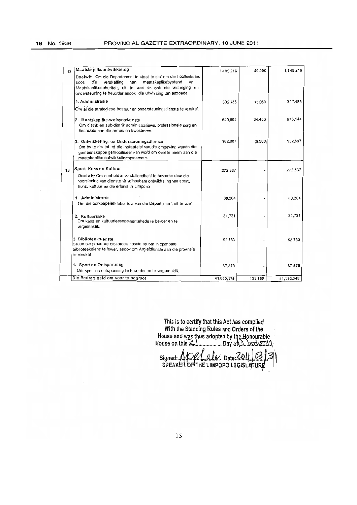| 12 | Maatskaplikeontwikkeling                                                                                                       | 1,105,216  | 40,000  | 1,145,216  |
|----|--------------------------------------------------------------------------------------------------------------------------------|------------|---------|------------|
|    | Doelwit Om die Departement in staat te stel om die hooffunksies                                                                |            |         |            |
|    | verskaffing<br>maatskaplikebystand<br>die<br>van<br>en<br>SOOS<br>Maatskaplikesekuniteit, uit te voer en ook die versorging en |            |         |            |
|    | ondersteuning te bevorder asook die uitwissing van armoede                                                                     |            |         |            |
|    | 1. Administrasie                                                                                                               | 302.435    | 15,050  | 317,485    |
|    | Om al die strategiese bestuur en ondersteuningsdienste te verskaf.                                                             |            |         |            |
|    |                                                                                                                                |            |         |            |
|    | 2. Maatskaplike-weisynsdienste<br>Om distrik en sub-distrik administratiewe, professionele sorg en                             | 640,694    | 34,450  | 675,144    |
|    | finansiele aan die armes en kwesbares.                                                                                         |            |         |            |
|    |                                                                                                                                |            |         | 152,587    |
|    | 3. Ontwikkeling- en Ondersteuningsdienste<br>Om by te dra tot tot die instaatstel van die omgewing waarin die                  | 162,087    | (9,500) |            |
|    | gemeenskappe gemobiliseer kan word om deel te neem aan die                                                                     |            |         |            |
|    | maatskaplike ontwikkelingsprosesse.                                                                                            |            |         |            |
| 13 | Sport, Kuns en Kultuur                                                                                                         | 272,537    |         | 272,537    |
|    | Doelwit: Om eenheid in verskillendheid te bevorder deur die                                                                    |            |         |            |
|    | voorsiening van dienste vir volhoubare ontwikkeling van sport,                                                                 |            |         |            |
|    | kuns, kultuur en die erfenis in Limpopo                                                                                        |            |         |            |
|    | 1. Administrasie                                                                                                               | 80,204     |         | 80.204     |
|    | Om die oorkoepelendebestuur van die Departement uit te voer                                                                    |            |         |            |
|    |                                                                                                                                |            |         | 31.721     |
|    | 2. Kultuursake<br>Om kuns en kultuurleaangeleentehede te bevoer en te                                                          | 31,721     |         |            |
|    | vergemaklik.                                                                                                                   |            |         |            |
|    |                                                                                                                                |            |         |            |
|    | 3. Biblioteekdienste<br>Staan die plaaslike biblioteek hoofde by om 'n openbare                                                | 92,733     |         | 92,733     |
|    | biblioteekdiens te lewer, asook om Argiefdienste aan die provinsie                                                             |            |         |            |
|    | te verskaf                                                                                                                     |            |         |            |
|    | 4. Sport en Ontspanning                                                                                                        | 67,879     |         | 67.879     |
|    | Om sport en ontspanning te bevorder en te vergemaklik                                                                          |            |         |            |
|    | Die Bedrag geld om voor te begroot                                                                                             | 41,060,179 | 133,169 | 41,193,348 |

**This is to certify that this Act has complied With the Standing Rules and Orders of the** House and was thus adopted by th<u>e H</u>onoµrable **House on** thi~L ........ " ..... **Day** of\.~ .. £\~X~

Signed: **A/C// al**e... Date: <u>ZDII JD3</u><br>SPEAKER OF THE LIMPOPO LEGISLATURE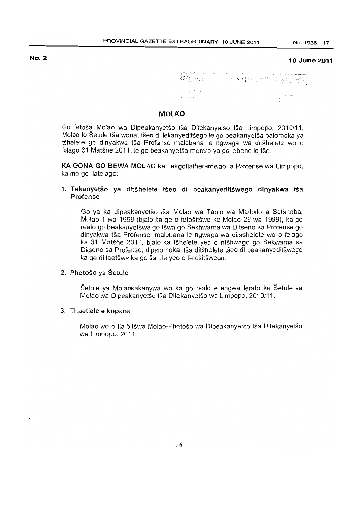### No.2

### **10 June** 2011

.,... .... ,,'  $\label{eq:2.1} \begin{split} \partial_{\mu}^{2} \psi_{\lambda\lambda}^{2} & \frac{1}{\sqrt{2}} \frac{\partial}{\partial \lambda} \psi_{\lambda}^{2} \\ \partial_{\mu}^{2} & = \partial_{\mu}^{2} \psi_{\lambda}^{2} \psi_{\lambda}^{2} + \frac{1}{2} \psi_{\lambda}^{2} \psi_{\lambda}^{2} \\ \partial_{\mu}^{2} & = \partial_{\mu}^{2} \psi_{\lambda}^{2} + \frac{1}{2} \psi_{\lambda}^{2} \psi_{\lambda}^{2} \\ \end{split}$  $\Omega_{\rm{max}}$  and  $\Omega_{\rm{max}}$  and  $\Omega_{\rm{max}}$ 

### **MOLAO**

Go fetoša Molao wa Dipeakanyetšo tša Ditekanyetšo tša Limpopo, 2010/11, Molao Ie Setule tsa wona, tseo di lekanyeditsego Ie go beakanyetsa palomoka ya tšhelete go dinyakwa tša Profense malebana le ngwaga wa ditšhelete wo o felago 31 Matšhe 2011, le go beakanyetša merero ya go lebene le tše.

KA GONA GO BEWA MOLAO ke Lekgotlatheramelao la Profense wa Limpopo, ka mo go latelago:

# 1. Tekanyetšo ya ditšhelete tšeo di beakanyeditšwego dinyakwa tša Profense

Go ya ka dipeakanyetso tsa Molao wa Taolo wa Matlotlo a Setshaba, Molao 1 wa 1999 (bjalo ka ge 0 fetositswe ke Molao 29 wa 1999), ka go realo go beakanvetšwa go tšwa go Sekhwama wa Ditseno sa Profense go dinyakwa tša Profense, malebana le ngwaga wa ditšshelete wo o felago ka 31 Matšhe 2011, bjalo ka tšhelete yeo e ntšhwago go Sekwama sa Ditseno sa Profense, dipalomoka tša ditšhelete tšeo di beakanyeditšwego ka ge di laetšwa ka go šetule yeo e fetošitšwego.

# 2. Phetoso ya Setule

Setule ya Molaokakanywa wo ka go realo e engwa lerato ke Setule ya Molao wa Dipeakanyetšo tša Ditekanyetšo wa Limpopo, 2010/11.

### 3. Thaetlele e kopana

Molao wo o tla bitšwa Molao-Phetošo wa Dipeakanyetšo tša Ditekanyetšo wa Limpopo, 2011.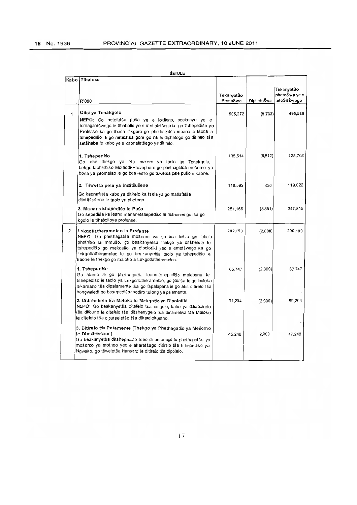| Kabo           | Tihaloso                                                                                                                                                                                                                                                                                                                              |                        |            | TekanyetŠo                    |
|----------------|---------------------------------------------------------------------------------------------------------------------------------------------------------------------------------------------------------------------------------------------------------------------------------------------------------------------------------------|------------------------|------------|-------------------------------|
|                |                                                                                                                                                                                                                                                                                                                                       | TekanyetŠo<br>PhetoŠwa |            | phetoŠwa ye e<br>fetoŠitŠwego |
|                | R'000                                                                                                                                                                                                                                                                                                                                 |                        | DiphetoŠwa |                               |
| 1              | Ofisi ya Tonakgolo<br>NEPO: Go netefatša pušo ye e lokilego, peakanyo ye e                                                                                                                                                                                                                                                            | 505,272                | (9,733)    | 495,539                       |
|                | lomagantšwego le tihabolio ye e matiafetšego ka go Tshepedišo ya<br>Profense ka go thuša dikgoro go phethagatša maano a tšona a<br>tshepedišo le go netefatša gore go na le diphetogo go ditirelo tša<br>setšhaba le kabo ye e kaonafetšego ya ditirelo.                                                                              |                        |            |                               |
|                | 1. Tshepedišo<br>Go aba thekgo ya tša merero ya taolo go Tonakgolo,<br>Lekgotlaphethišo Molaodi-Pharephare go phethagatša mešomo ya<br>bona ya peomelao le go bea leihlo go tšwetša pele pušo e kaone.                                                                                                                                | 135,514                | (6, 812)   | 128,702                       |
|                | 2. Tšwetšo pele ya Institšušene                                                                                                                                                                                                                                                                                                       | 118,592                | 430        | 119,022                       |
|                | Go kaonafatša kabo ya ditirelo ka tsela ya go matlafatša<br>diintitšušene le taolo ya phetogo.                                                                                                                                                                                                                                        |                        |            |                               |
|                | 3. Mananetshepedišo le Pušo<br>Go sepediša ka leano mananetshepedišo le mananeo go iša go<br>kgolo le tihabolloya profense.                                                                                                                                                                                                           | 251,166                | (3,351)    | 247,815                       |
| $\overline{2}$ | Lekgotlatheramelao la Profense<br>NEPO: Go phethagatša mošomo wa go bea leihlo go lekala-<br>phethišo la mmušo, go beakanyetša thekgo ya ditšhelete le<br>tshepedišo go mekgatlo ya dipolotiki yeo e emetšwego ka go<br>Lekgotlatheramelao le go beakanyetša taolo ya tshepedišo e<br>kaone le thekgo go maloko a Lekgotlatheramelao. | 202,199                | (2,000)    | 200,199                       |
|                | 1. Tshepedišo<br>Go hlama le go phethagatša leano-tshepedišo malebana le<br>tshepedišo le taolo ya Lekgotlatheramelao, go godiša le go boloka<br>dikamano tša dipalamente tša go fapafapana le go aba ditirelo tša<br>bongwaledi go basepediša-modiro tulong ya palamente.                                                            | 65,747                 | (2,000)    | 63,747                        |
|                | 2. Ditlabakelo tša Maloko le Mekgatlo ya Dipolotiki<br>NEPO: Go beakanyetša ditefelo tša megolo, kabo ya ditlabakelo<br>tša difoune le ditefelo tša ditshenygelo tša dinamelwa tša Maloko<br>le ditefelo tša diputseletšo tša dikarolokgetho.                                                                                         | 91,204                 | (2,000)    | 89,204                        |
|                | 3. Ditirelo tša Palamente (Thekgo ya Phethagatšo ya Mešomo<br>le Dinstitšušene)<br>Go beakanyetša ditshepedišo tšeo di amanago le phethagatšo ya<br>mošomo ya motheo yeo e akaretšago ditirelo tša tshepedišo ya<br>Ngwako, go tšweletša Hansard le ditirelo tša dipolelo.                                                            | 45,248                 | 2,000      | 47.248                        |

**ŠETULE**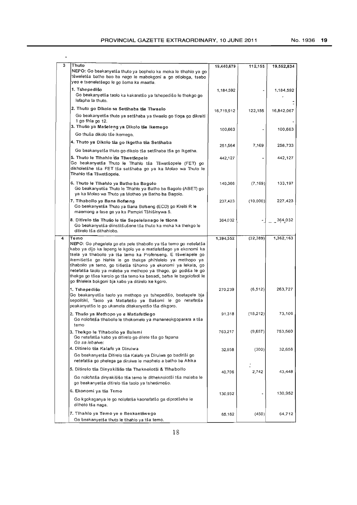$\ddot{\phantom{1}}$ 

| 3 | Thuto<br>NEPO: Go beakanyetša thuto ya bophelo ka moka le tlhahio ya go<br>tšweletša batho bao ba nago le mabokgoni a go otlologa, tsebo<br>yeo e tseneletšego le go šoma ka maatla.                                                                                                                                                                                                                                                                                                                                                           | 19,440,679 | 112,155   | 19,552,834 |
|---|------------------------------------------------------------------------------------------------------------------------------------------------------------------------------------------------------------------------------------------------------------------------------------------------------------------------------------------------------------------------------------------------------------------------------------------------------------------------------------------------------------------------------------------------|------------|-----------|------------|
|   | 1. Tshepedišo<br>Go beakanyetša taolo ka kakaretšo ya tshepedišo le thekgo go<br>lefapha la thuto.                                                                                                                                                                                                                                                                                                                                                                                                                                             | 1,184,592  |           | 1,184,592  |
|   | 2. Thuto go Dikolo sa Setšhaba tša Tlwaelo<br>Go beakanyetša thuto ya setšhaba ya tiwaelo go tioga go dikreiti<br>1 go fihla go 12.                                                                                                                                                                                                                                                                                                                                                                                                            | 16,719,912 | 122,155   | 16,842,067 |
|   | 3. Thušo ya Mašeleng ya Dikolo tše Ikemego<br>Go thuša dikolo tše ikemego.                                                                                                                                                                                                                                                                                                                                                                                                                                                                     | 100,663    |           | 100,663    |
|   | 4. Thuto ya Dikolo tša go Ikgetha tša Setšhaba                                                                                                                                                                                                                                                                                                                                                                                                                                                                                                 |            |           |            |
|   | Go beakanyetša thuto go dikolo tša setšhaba tša go ikgetha.                                                                                                                                                                                                                                                                                                                                                                                                                                                                                    | 251.564    | 7,169     | 258,733    |
|   | 5. Thuto le Tihahio tša Tšwetšopele<br>Go beakanyetša Thuto le Tihahlo tša Tšwetšopele (FET) go<br>dikholetšhe tša FET tša setšhaba go ya ka Molao wa Thuto le<br>Tihahlo tša Tšwetšopele.                                                                                                                                                                                                                                                                                                                                                     | 442,127    |           | 442.127    |
|   | 6. Thuto le Tihahlo ya Batho ba Bagolo<br>Go beakanyetša Thuto le Tihahlo ya Batho ba Bagolo (ABET) go<br>ya ka Molao wa Thuto ya Motheo ya Batho ba Bagolo.                                                                                                                                                                                                                                                                                                                                                                                   | 140,366    | (7, 169)  | 133,197    |
|   | 7. Tihabolio ya Bana Bofseng<br>Go beakanyetša Thuto ya Bana Bofseng (ECD) go Kreiti R le<br>maemong a fase go ya ka Pampiri Tšhišinywa 5.                                                                                                                                                                                                                                                                                                                                                                                                     | 237,423    | (10,000)  | 227,423    |
|   | 8. Ditirelo tša Thušo le tše Sepelelanago le tšona<br>Go beakanyetša diinstitšušene tša thuto ka moka ka thekgo le<br>ditirelo tša dithahlobo.                                                                                                                                                                                                                                                                                                                                                                                                 | 364,032    |           | 364,032    |
| 4 | Temo<br>NEPO: Go phegelela go eta pele tihabollo ya tša temo go netefatša<br>kabo ya dijo ka lapeng le kgolo ye e matlafetšego ya ekonomi ka<br>tsela ya tihabollo ya tša temo ka Profenseng. E tšwelapele go<br>ikemišetša go hlahla le go thekga phihlelelo ya methopo ya<br>tlhabollo ya temo, go tiišetša tšhomo ya ekonomi ya lekala, go<br>netefatša taolo ya maleba ya methopo ya tihago, go godiša le go<br>thekga go tšea karolo go tša temo ka basadi, bafsa le bagolofadi le<br>go fihlelela bokgoni bja kabo ya ditirelo ke kgoro. | 1,394,552  | (32, 389) | 1,362,163  |
|   | 1. Tshepedišo<br>Go beakanyetša taolo ya methopo ya tshepedišo, boetapele bja<br>sepolitiki, Taolo ya Matlafatšo ya Bašomi le go netefatša<br>peakanyetšo le go ukamela ditekanyetšo tša dikgoro.                                                                                                                                                                                                                                                                                                                                              | 270,239    | (6, 512)  | 263,727    |
|   | 2. Thušo ya Methopo ye e Matiafetšego<br>Go nolofatša tlhabollo le tlhokomelo ya mananeokgoparara a tša<br>temo                                                                                                                                                                                                                                                                                                                                                                                                                                | 91,318     | (18, 212) | 73,106     |
|   | 3. Thekgo le Tihabollo ya Balemi<br>Go netefatša kabo ya ditirelo go dilete tša go fapana<br>Go sa lebalwe:                                                                                                                                                                                                                                                                                                                                                                                                                                    | 763,217    | (9,657)   | 753,560    |
|   | 4. Ditirelo tša Kalafo ya Diruiwa<br>Go beakanyetša Ditirelo tša Kalafo ya Diruiwa go badiriši go<br>netefatša go phelega ga diruiwa le maphelo a batho ba Afrika                                                                                                                                                                                                                                                                                                                                                                              | 32,958     | (300)     | 32,658     |
|   | 5. Ditirelo tša Dinyakišišo tša Theknolotši & Tlhabollo                                                                                                                                                                                                                                                                                                                                                                                                                                                                                        |            |           |            |
|   | Go nolofatša dinyakišišo tša temo le ditheknolotši tša maleba le<br>go beakanyetša ditirelo tša taolo ya tshedimošo.                                                                                                                                                                                                                                                                                                                                                                                                                           | 40,706     | 2,742     | 43,448     |
|   | 6. Ekonomi ya tša Temo                                                                                                                                                                                                                                                                                                                                                                                                                                                                                                                         |            |           | 130,952    |
|   | Go kgokaganya le go nolofatša kaonafatšo ga diprotšeke le<br>dithoto tša naga.                                                                                                                                                                                                                                                                                                                                                                                                                                                                 | 130,952    |           |            |
|   | 7. Tihahlo ya Temo ye e Beakantšwego<br>Go beakanyetša thuto le tihahlo ya tša temo.                                                                                                                                                                                                                                                                                                                                                                                                                                                           | 65,162     | (450)     | 64,712     |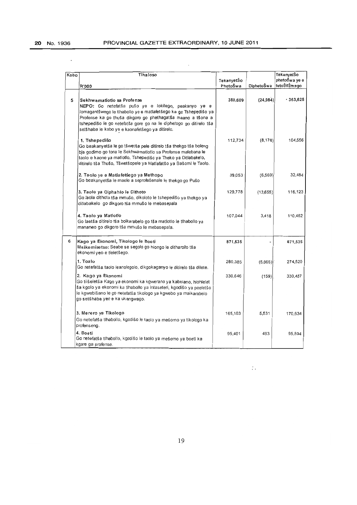$\ddot{\phantom{0}}$ 

| Kabo | Tihaloso                                                                                                                                                                                                                                                                                                                                       |                        |            | TekanyetŠo                    |
|------|------------------------------------------------------------------------------------------------------------------------------------------------------------------------------------------------------------------------------------------------------------------------------------------------------------------------------------------------|------------------------|------------|-------------------------------|
|      | R'000                                                                                                                                                                                                                                                                                                                                          | TekanyetŠo<br>PhetoŠwa | DiphetoŠwa | phetoŠwa ye e<br>fetoŠitŠwego |
|      |                                                                                                                                                                                                                                                                                                                                                |                        |            |                               |
| 5    | Sekhwamatiotio sa Profense<br>NEPO: Go netefatša pušo ye e lokilego, peakanyo ye e<br>lomagantšwego le tlhabollo ye e matlafetšego ka go Tshepedišo ya<br>Profense ka go thuša dikgoro go phethagatša maano a tšona a<br>tshepedišo le go netefatša gore go na le diphetogo go ditirelo tša<br>setšhaba le kabo ye e kaonafetšego ya ditirelo. | 388,609                | (24, 984)  | $-363,625$                    |
|      | 1. Tshepedišo<br>Go beakanyetša le go tšwetša pele ditirelo tša thekgo tša boleng<br>bia godimo go tona le Sekhwamatlotio sa Profense malebana le<br>taolo e kaone ya matiotio, Tshepedišo ya Theko ya Ditlabakelo,<br>ditirelo tša Thušo, Tšwetšopele ya Matlafatšo ya Bašomi le Taolo.                                                       | 112,734                | (8, 178)   | 104,556                       |
|      | 2. Taolo ye e Matlafetšego ya Methopo<br>Go beakanyetša le maele a seprofešenale le thekgo go Pušo                                                                                                                                                                                                                                             | 39,053                 | (6, 569)   | 32,484                        |
|      | 3. Taolo ya Diphahlo le Dithoto<br>Go laola dithoto tša mmušo, dikoloto le tshepedišo ya thekgo ya<br>ditlabakelo go dikgoro tša mmušo le mebasepala                                                                                                                                                                                           | 129,778                | (13,655)   | 116,123                       |
|      | 4. Taolo ya Matlotlo<br>Go laetša ditirelo tša boikarabelo go tša matlotlo le tlhabollo ya<br>mananeo go dikgoro tša mmušo le mebasepala.                                                                                                                                                                                                      | 107,044                | 3,418      | 110,462                       |
| 6    | Kago ya Ekonomi, Tikologo le Boeti<br>Maikemisetso: Seabe se segolo go hiongo le ditharollo tša<br>ekonomi yeo e tieletšego.                                                                                                                                                                                                                   | 871,535                |            | 871,535                       |
|      | 1. Toalo<br>Go netefatša taolo leanolegolo, dikgokaganyo le ditirelo tša dilete.                                                                                                                                                                                                                                                               | 280,385                | (5,865)    | 274.520                       |
|      | 2. Kago ya Ekonomi<br>Go tiišeletša Kago ya ekonomi ka kgwerano ya kabelano, hiohlelet<br>ša kgolo ya ekonomi ka tihabollo ya intaseteri, kgodišo ya peeletšo<br>le kgwebišano le go netefatša tikologo ya kgwebo ya maikarabelo<br>go setšhaba yeo e ka ukangwago.                                                                            | 330,646                | (159)      | 330,487                       |
|      | 3. Merero ya Tikologo<br>Go netefatša tihabollo, kgodišo le taolo ya mešomo ya tikologo ka<br>profenseng.                                                                                                                                                                                                                                      | 165,103                | 5,531      | 170,634                       |
|      | 4. Boeti<br>Go netefatša tlhabollo, kgodišo le taolo ya mešomo ya boeti ka<br>kgare ga profense.                                                                                                                                                                                                                                               | 95,401                 | 493        | 95.894                        |

 $\mathbb{C}^{\mathbb{Z}}$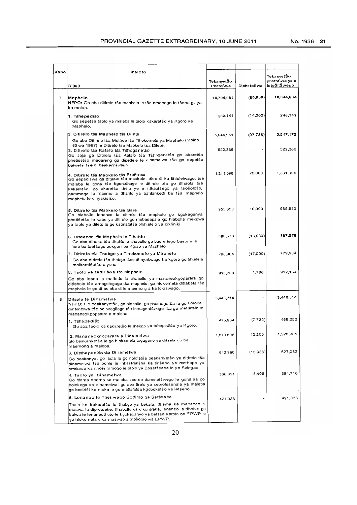| Kabo           | Tihaloso                                                                                                                                                                                                                                                                                                                           |            |            | TekanyetŠo    |
|----------------|------------------------------------------------------------------------------------------------------------------------------------------------------------------------------------------------------------------------------------------------------------------------------------------------------------------------------------|------------|------------|---------------|
|                |                                                                                                                                                                                                                                                                                                                                    | TekanyetŠo |            | phetoŠwa ye e |
|                | R'000                                                                                                                                                                                                                                                                                                                              | PhetoŠwa   | DiphetoŠwa | fetoŠitŠwego  |
| $\overline{7}$ | Maphelo                                                                                                                                                                                                                                                                                                                            | 10,704,084 | (60,000)   | 10,644,084    |
|                | NEPO: Go aba ditirelo tša maphelo le tše amanago le tšona go ya<br>ka molao.                                                                                                                                                                                                                                                       |            |            |               |
|                | 1. Tshe pe dišo<br>Go sepetša taolo ya maleba le taolo kakaretšo ya Kgoro ya<br>Maphelo.                                                                                                                                                                                                                                           | 262,141    | (14,000)   | 248,141       |
|                | 2. Ditirelo tša Maphelo tša Dilete<br>Go aba Ditirelo tša Mothoe tša Tihokomelo ya Maphelo (Molao                                                                                                                                                                                                                                  | 5,644,961  | (97, 786)  | 5,547,175     |
|                | 63 wa 1997) le Ditirelo tša Maokelo tša Dilete.<br>3. Ditirelo tša Kalafo tša Tšhoganetšo<br>Go abja ga Ditirelo tša Kalafo tša Tšhoganetšo go akaretša<br>phetišetšo magareng ga dipetlele le dinamelwa tša go sepetša<br>balwetši tše di beakantšwego                                                                            | 522,386    |            | 522,386       |
|                | 4. Ditire lo tša Maokelo tša Profense<br>Go sepedišwa ga ditirelo tša maokelo, tšeo di ka fihlelelwago, tša<br>maleba le gona tše kgontšhago le ditirelo tša go itlhaola tša<br>kakaretšo, go akaretša tirelo ye e itlhaotšego ya tsošološo,<br>gammogo le maemo a tihahio ya bahlankedi ba tša maphelo<br>maphelo le dinyakišišo. | 1,211,096  | 70,000     | 1,281,096     |
|                | 5. Ditirelo tša Maokelo tša Gare<br>Go hlabolla lenaneo la ditirelo tša maphelo go kgokaganya<br>phetišetšo le kabo ya ditirelo go mebasepala go hlabolla mekgwa<br>ya taolo ya dilete le go kaonafatša phihlelelo ya dikliniki.                                                                                                   | 955,650    | 10,000     | 965,650       |
|                | 6. Disaense tša Maphelo le Tihahlo<br>Go aba dibaka tša tlhahlo le tlhabollo go bao e lego bašomi le<br>bao ba laetšago bokgoni ba Kgoro ya Maphelo                                                                                                                                                                                | 400,578    | (13,000)   | 387,578       |
|                | 7. Ditirelo tša Thekgo ya Tihokomelo ya Maphelo<br>Go aba ditirelo tša thekgo tšeo di nyakwago ke kgoro go fihlelela<br>maikemišetšo a yona.                                                                                                                                                                                       | 796.904    | (17,000)   | 779,904       |
|                | 8. Taolo ya Didirišwa tša Maphelo                                                                                                                                                                                                                                                                                                  | 910,368    | 1,786      | 912,154       |
|                | Go aba leano la matlotio le tihabollo ya mananeokgoparara go<br>ditlabela tše amogelegago tša maphelo, go hlokomela ditlabela tša<br>maphelo le go di boloka di le maemong a ka lokišwago.                                                                                                                                         |            |            |               |
| 8              | Ditsela le Dinamelwa<br>NEPO: Go beakanyetša, go hlabolla, go phethagatša le go boloka<br>dinamelwa tše bolokegilego tše lomagantšwego tša go matlafala le<br>mananeokgoparara a maleba.                                                                                                                                           | 3.440,314  |            | 3,440,314     |
|                | 1. Tshepedišo<br>Go aba taolo ka kakaretšo le thekgo ya tshepedišo ya Kgoro.                                                                                                                                                                                                                                                       | 475,984    | (7, 732)   | 468,252       |
|                | 2. Mananeokgoparara a Dinamelwa<br>Go beakanyetša le go hlokomela togagano ya ditsela go ba<br>maemong a maleba.                                                                                                                                                                                                                   | 1,513,696  | 15,265     | 1,528,961     |
|                | 3. Ditshepedišo tša Dinamelwa                                                                                                                                                                                                                                                                                                      | 642,990    | (15,938)   | 627,052       |
|                | Go beakanya, go laola le go nolofatša peakanyetšo ya ditirelo tša<br>dinamelwa tša bohle le infrastrakšha ka tinšano ya methopo ya<br>profense ka nnoši mmogo le taolo ya Bosetšhaba le ya Selegae                                                                                                                                 |            |            |               |
|                | 4. Taolo ya  Dinamelwa<br>Go hlama seemo sa maleba seo se dumeletšwego le gona sa go<br>bolokega sa dinamelwa, go aba tirelo ya seprofesenale ya maleba<br>go badiriši ka moka le go matlafatša kgoboketšo ya letseno.                                                                                                             | 386,311    | 8.405      | 394,716       |
|                | 5. Lenaneo le Theilwego Godimo ga Setšhaba                                                                                                                                                                                                                                                                                         | 421,333    |            | 421,333       |
|                | Toalo ka kakaretšo le thekgo ya Lekala, tihama ka mananeo a<br>maswa le diprotšeke, tihabollo ka dikontraka, lenaneo la tihahlo go<br>balwa le lenaneothuto le kgokaganyo ya batšea karolo ba EPWP le<br>go hlokomela dika maswao a mošomo wa EPWP.                                                                                |            |            |               |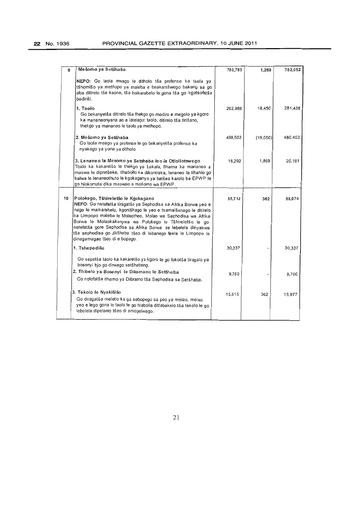| 9  | Mešomo ya Setšhaba                                                                                                                                                                                                                                                                                                                                                                                                                                                        | 780,783 | 1,269    | 782,052 |
|----|---------------------------------------------------------------------------------------------------------------------------------------------------------------------------------------------------------------------------------------------------------------------------------------------------------------------------------------------------------------------------------------------------------------------------------------------------------------------------|---------|----------|---------|
|    | NEPO: Go laola meago le dithoto tša profense ka tsela ya<br>tšhomišo ya methopo ya maleba e beakantšwego bakeng sa go<br>aba ditirelo tše kaone, tša boikarabelo le gona tša go kgotsofatša<br>badiriši.                                                                                                                                                                                                                                                                  |         |          |         |
|    | 1. Taolo<br>Go bekanyetša ditirelo tša thekgo go mediro e megolo ya kgoro<br>ka mananeonyana ao a latelago: taolo, ditirelo tša tirišano,<br>thekgo ya mananeo le taolo ya methopo.                                                                                                                                                                                                                                                                                       | 262.988 | 18,450   | 281,438 |
|    | 2. Mešomo ya Setšhaba<br>Go laola meago ya profense le go bekanyetša profense ka<br>nyakego ya yona ya dithoto                                                                                                                                                                                                                                                                                                                                                            | 499,503 | (19,050) | 480,453 |
|    | 3. Lenaneo la Mesomo ya Setshaba leo le Otlollotswego<br>Toalo ka kakaretšo le thekgo ya Lekala, tihama ka mananeo a<br>maswa le diprotšeke, tlhabolio ka dikontraka, lenaneo la tlhahlo go<br>balwa le lenaneothuto le kgokaganyo ya batšea karolo ba EPWP le<br>go hlokomela dika maswao a mošomo wa EPWP.                                                                                                                                                              | 18,292  | 1,869    | 20,161  |
| 10 | Polokego, Tšhireletšo le Kgokagano<br>NEPO: Go netefatša tiragatšo ya Sephodisa sa Afrika Borwa yeo e<br>nago le maikarabelo, kgontšhago le yeo e tsamaišanago le ditirelo<br>ka Limpopo maleba le Molaotheo, Molao wa Sephodisa wa Afrika<br>Borwa le Molaokakanywa wa Polokego le Tšhireletšo le go<br>netefatša gore Sephodisa sa Afrika Borwa se lebelela dinyakwa<br>tša sephodisa go ditšhaba tšeo di lebanego feela le Limpopo le<br>dinagamagae tšeo di e bopago. | 55,712  | 362      | 56,074  |
|    | 1. Tshepedišo                                                                                                                                                                                                                                                                                                                                                                                                                                                             | 30,337  |          | 30.337  |
|    | Go sepetša taolo ka kakaretšo ya kgoro le go fokotša tiragalo ya<br>bosenyi bjo go dirwago setšhabeng.                                                                                                                                                                                                                                                                                                                                                                    |         |          |         |
|    | 2. Thibelo ya Bosenyi le Dikamano le Setšhaba<br>Go nolofatša tlhamo ya Diforamo tša Sephodisa sa Setšhaba.                                                                                                                                                                                                                                                                                                                                                               | 9,760   |          | 9,760   |
|    | 3. Tekolo le Nyakišišo<br>Go diragatša meletlo ka ga sebopego sa peo ya melao, melao<br>yeo e lego gona le taolo le go hlabolla ditlabakelo tša tekolo le go<br>lebelela dipelaelo tšeo di amogelwago.                                                                                                                                                                                                                                                                    | 15,615  | 362      | 15,977  |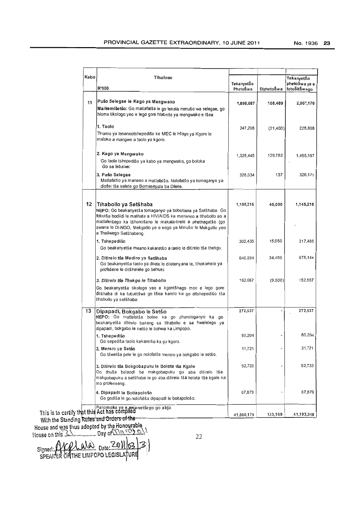| Kabo | Tihaloso<br><b>R'000</b>                                                                                                                                                                                                                                                                                              | TekanyetŠo<br>PhetoŠwa | DiphetoŠwa | TekanyetŠo<br>phetoŠwa ye e<br>fetoŠitŠwego |
|------|-----------------------------------------------------------------------------------------------------------------------------------------------------------------------------------------------------------------------------------------------------------------------------------------------------------------------|------------------------|------------|---------------------------------------------|
| 11   | Pušo Selegae le Kago ya Mengwako<br>Maikemišetšo: Go matlafatša le go lekola mmušo wa selegae, go<br>hloma tikologo yeo e lego gore hlabolio ya mengwako e tšea                                                                                                                                                       | 1,898,687              | 108,489    | 2,007,176                                   |
|      | 1. Taolo<br>Tihamo ya lenaneotshepedišo ke MEC le Hlogo ya Kgoro le<br>maloko a mangwe a taolo ya kgoro.                                                                                                                                                                                                              | 247,208                | (21, 400)  | 225,808                                     |
|      | 2. Kago ya Mengwako<br>Go laola tshepedišo ya kabo ya mengwako, go boloka<br>Go sa lebalwe:                                                                                                                                                                                                                           | 1,325,445              | 129,752    | 1,455,197                                   |
|      | 3. Pušo Selegae<br>Matlafatšo ya manaeo a matlafatšo. Nolofatšo ya tomaganyo ya<br>diofisi tša selete go Bomasepala ba Dilete.                                                                                                                                                                                        | 326,034                | 137        | 326,171                                     |
| 12   | Tihabollo ya Setšhaba<br>NEPO: Go beakanyetša tomaganyo ya bobotlana ya Setšhaba. Go<br>fokotša bodiidi le mathata a HIV/AIDS ka mananeo a tihabollo ao a<br>matlafetšego ka tšhomišano le makala-tirelo a phethagatšo (go<br>swana le Di-NGO, Mekgatlo ye e sego ya Mmušo le Mekgatlo yeo<br>e Theilwego Setšhabeng. | 1,105,216              | 40,000     | 1,145,216                                   |
|      | 1. Tshepedišo<br>Go beakanyetša maano kakaretšo a taolo le ditirelo tša thekgo.                                                                                                                                                                                                                                       | 302,435                | 15,050     | 317,485                                     |
|      | 2. Ditirelo tša Mediro ya Setšhaba<br>Go beakanyetša taolo ya dilete le diletenyana le, tlhokomelo ya<br>profešene le ditšhelete go bahloki                                                                                                                                                                           | 640,694                | 34,450     | 675,144                                     |
|      | 3. Ditirelo tša Thekgo le Tlhabollo<br>Go beakanyetša tikologo yeo e kgontšhago moo e lego gore<br>ditšhaba di ka tutuetšwa go tšea karolo ka go ditshepedišo tša<br>tihabollo ya setšhaba.                                                                                                                           | 162,087                | (9,500)    | 152,587                                     |
| 13   | Dipapadi, Bokgabo le Setšo<br>NEPO: Go matlafatša botee ka go pharologanyo ka go<br>beakanyetša ditirelo bakeng sa tlhabollo e sa hwelelego ya<br>dipapadi, bokgabo le setšo le bohwa ka Limpopo.                                                                                                                     | 272,537                |            | 272,537                                     |
|      | 1. Tshepedišo<br>Go sepediša taolo kakaretšo ka go kgoro.                                                                                                                                                                                                                                                             | 80,204                 |            | 80,204                                      |
|      | 2. Merero va Setšo<br>Go tšwetša pele le go nolofatša merero ya bokgabo le setšo.                                                                                                                                                                                                                                     | 31,721                 |            | 31,721                                      |
|      | 3. Ditirelo tša Bokgobapuku le Bolota tša Kgale<br>Go thuša balaodi ba makgobapuku go aba ditirelo tša<br>makgobapuku a setšhaba le go aba ditirelo tša bolota tša kgale ka<br>mo profenseng.                                                                                                                         | 92,733                 |            | 92,733                                      |
|      | 4. Dipapadi le Boitapološo<br>Go godiša le go nolofatša dipapadi le boitapološo.                                                                                                                                                                                                                                      | 67,879                 |            | 67,879                                      |
|      | Palomoka ye e swanetšego go abja<br>This is to certify that this Act has complied                                                                                                                                                                                                                                     | 41,060,179             | 133,169    | 41,193,348                                  |

With the Standing Rules and Orders of the

House and was thus adopted by the Honograpic House on thl~\ ................. Day of~ ......... ~ ....... .

 $\text{AMO}_{\text{Date}}$   $20$ ll  $\text{B}$   $\text{B}$ THE LIMPOPO LEGlSLA/uRq

22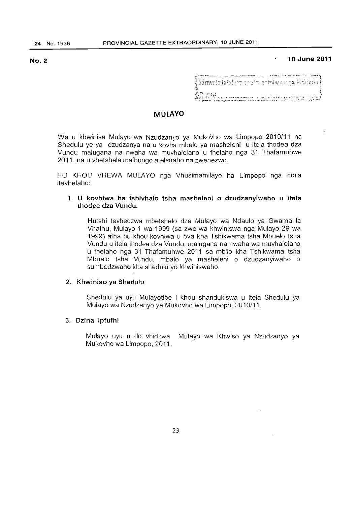# No.2 **10 June 2011**

| ANG TENDEMBANGAN KAPANGAN ANG ATAS ING ALAWA MANG METANGGALAN ANG ANG PERANG ANG AKANG ING MENENGAN ANG PERANG |  |
|----------------------------------------------------------------------------------------------------------------|--|
| <b>  Limerto la izi</b> edvice di contra <b>wa nga Phirint</b> ia                                              |  |
| းကို တော့<br>တို့ရှိပါသည်။<br>တို့ရန်ပြည်နှိုင်ငံရှိပါသည်။                                                     |  |

### MULAYO

Wa u khwinisa Mulayo wa Nzudzanyo ya Mukovho wa Limpopo 2010/11 na Shedulu ye ya dzudzanya na u kovha mbalo ya masheleni u itela thodea dza Vundu malugana na nwaha wa muvhalelano u fhelaho nga 31 Thafamuhwe 2011, na u vhetshela mafhungo a elanaho na zwenezwo ..

HU KHOU VHEWA MULAYO nga Vhusimamilayo ha Limpopo nga ndila itevhelaho:

# 1. U kovhiwa ha tshivhalo tsha masheleni o dzudzanyiwaho u itela thodea dza Vundu.

Hutshi tevhedzwa mbetshelo dza Mulayo wa Ndaulo ya Gwama la Vhathu, Mulayo 1 wa 1999 (sa zwe wa khwiniswa nga Mulayo 29 wa 1999) afha hu khou kovhiwa u bva kha Tshikwama tsha Mbuelo tsha Vundu u itela thodea dza Vundu, malugana na nwaha wa muvhalelano u fhelaho nga 31 Thafamuhwe 2011 sa mbilo kha Tshikwama tsha Mbuelo tsha Vundu, mbalo ya masheleni 0 dzudzanyiwaho 0 sumbedzwaho kha shedulu yo khwiniswaho.

### 2. Khwiniso ya Shedulu

Shedulu ya uyu Mulayotibe i khou shandukiswa u itela Shedulu ya Mulayo wa Nzudzanyo ya Mukovho wa Limpopo, 2010/11.

### 3. Dzina lipfufhi

Mulayo uyu u do vhidzwa Mulayo wa Khwiso ya Nzudzanyo ya Mukovho wa Limpopo, 2011.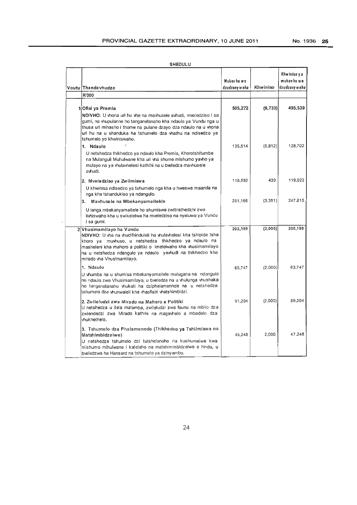| SHEDULU |  |
|---------|--|
|         |  |

| Voutu Thanda vhudzo<br>R'000                                                                                                                                                                                                                                                                                         | Mukov ha wa<br>dzudzany w aho | Khwiniso | Khwinisa y a<br>mukov ho w a<br>dzudzany w ahu |
|----------------------------------------------------------------------------------------------------------------------------------------------------------------------------------------------------------------------------------------------------------------------------------------------------------------------|-------------------------------|----------|------------------------------------------------|
| 1 Ofisi ya Premia<br>NDIVHO: U vhona uri hu vhe na mavhusele avhudi, mveledziso i sa<br>gumi, na vhupulanne ho tanganelanaho kha ndaulo ya Vundu nga u                                                                                                                                                               | 505,272                       | (9, 733) | 495,539                                        |
| thusa un mihasho i thome na pulane dzayo dza ndaulo na u vhona<br>uri hu na u shanduka ha tshumelo dza vhathu na ndisedzo ya<br>tshumelo yo khwiniswaho.                                                                                                                                                             |                               |          |                                                |
| 1. Ndaulo<br>U netshedza thikhedzo ya ndaulo kha Premia, Khorotshitumbe<br>na Mulanguli Muhulwane kha uri vha shume mishumo yavho ya<br>mulayo na ya vhulavhelesi kathihi na u bveledza mavhusele<br>avhudi.                                                                                                         | 135,514                       | (6, 812) | 128,702                                        |
| 2. Mveledziso ya Zwiimiswa<br>U khwinisa ndisedzo ya tshumelo nga kha u hweswa maanda na<br>nga kha tshandukiso ya ndangulo.                                                                                                                                                                                         | 118.592                       | 430      | 119.022                                        |
| Mavhusele na Mbekanyamaitekle<br>3.<br>U langa mbekanyamaitele ho shumiswa zwitirathedzhi zwo<br>livhiswaho kha u swikelelwa ha mveledziso na nyaluwo ya Vundu<br>i sa gumi.                                                                                                                                         | 251,166                       | (3, 351) | 247.815                                        |
| 2 Vhusimamilayo ha Vundu<br>NDIVHO: U vha na vhudifhinduleli ha vhulavhelesi kha tshipida tsha<br>khoro ya muvhuso, u netshedza thikhedzo ya ndaulo na<br>masheleni kha mahoro a politiki o limelelwaho kha vhusimamilayo<br>na u netshedza ndangulo ya ndaulo yavhudi na thikhedzo kha<br>mirado vha Vhusimamilayo. | 202,199                       | (2,000)  | 200,199                                        |
| 1. Ndaulo<br>U vhumba na u shumisa mbekanyamaitele malugana na ndangulo<br>na ndaulo zwa Vhusimamilayo, u bveledza na u vhulunga vhushaka<br>ho tanganelanaho vhukati ha dziphalamennde na u netshedza<br>tshumelo dza vhunwaleli kha vhaofisiri vhatshimbidzi.                                                      | 65.747                        | (2,000)  | 63,747                                         |
| 2. Zwileludzi zwa Mirado na Mahoro a Politiki<br>U netshedza u itela malamba, zwileludzi zwa founu na mbilo dza<br>zwiendedzi zwa Mirado kathihi na magavhelo a mbadelo dza<br>vhukhethelo.                                                                                                                          | 91,204                        | (2,000)  | 89.204                                         |
| 3. Tshumelo dza Phalamennde (Thikhedzo ya Tshiimiswa na<br>Matshimbidzelwe)<br>U netshedza tshumelo dzi tutshelanaho na kushumelwe kwa<br>mishumo mihulwane i katelaho na matshimmbidzelwe a Nndu, u<br>bveledzwa ha Hansard na tshumelo ya dzinyambo.                                                               | 45.248                        | 2.000    | 47,248                                         |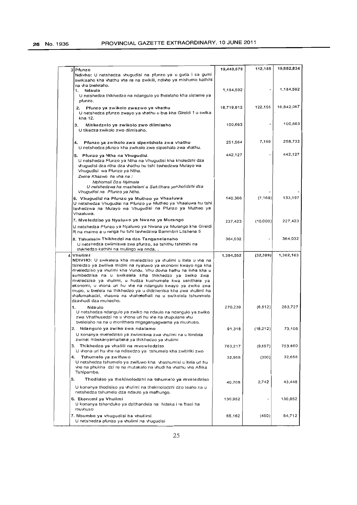| 3 Pfunzo                                                                           |                                                                                                                                                                                                                                                                                                                                                                                                                                                                                                                             | 19,440,679 | 112,155   | 19,552,834 |
|------------------------------------------------------------------------------------|-----------------------------------------------------------------------------------------------------------------------------------------------------------------------------------------------------------------------------------------------------------------------------------------------------------------------------------------------------------------------------------------------------------------------------------------------------------------------------------------------------------------------------|------------|-----------|------------|
|                                                                                    | Ndivho: U netshedza vhugudisi na pfunzo ya u guda i sa gumi<br>swikisaho kha vhathu vha re na zwikili, ndivho ya mishumo kathihi                                                                                                                                                                                                                                                                                                                                                                                            |            |           |            |
| na vha bvelelaho.<br>Ndaulo<br>1.                                                  |                                                                                                                                                                                                                                                                                                                                                                                                                                                                                                                             | 1,184,592  |           | 1,184,592  |
| pfunzo.                                                                            | U netshedza thikhedzo na ndangulo yo fhelelaho kha sisteme ya                                                                                                                                                                                                                                                                                                                                                                                                                                                               |            |           |            |
|                                                                                    |                                                                                                                                                                                                                                                                                                                                                                                                                                                                                                                             | 16,719,912 | 122,155   | 16,842,067 |
| 2.<br>Pfunzo ya zwikolo zwazwo ya vhathu<br>kha 12.                                | U netshedza pfunzo zwayo ya vhathu u bva kha Gireidi 1 u swika                                                                                                                                                                                                                                                                                                                                                                                                                                                              |            |           |            |
| 3.<br>Mitikedzelo ya zwikolo zwo diimisaho                                         |                                                                                                                                                                                                                                                                                                                                                                                                                                                                                                                             | 100,663    |           | 100,663    |
| U tikedza zwikolo zwo diimisaho.                                                   |                                                                                                                                                                                                                                                                                                                                                                                                                                                                                                                             |            |           |            |
| 4.                                                                                 | Pfunzo ya zwikolo zwa sipentshala zwa vhathu                                                                                                                                                                                                                                                                                                                                                                                                                                                                                | 251,564    | 7,169     | 258,733    |
|                                                                                    | U netshedza pfunzo kha zwikolo zwa sipeshala zwa vhathu.                                                                                                                                                                                                                                                                                                                                                                                                                                                                    |            |           |            |
| 5. Pfunzo ya Ntha na Vhugudisi.<br>Vhugudisi wa Pfunzo ya Ntha.                    | U netshedza Pfunzo ya Ntha na Vhugudisi kha kholedzhi dza<br>whugudisi dza ntha dza vhathu hu tshi tevhedzwa Mulayo wa                                                                                                                                                                                                                                                                                                                                                                                                      | 442,127    |           | 442,127    |
| Zwine Khazwo ha vha na :                                                           |                                                                                                                                                                                                                                                                                                                                                                                                                                                                                                                             |            |           |            |
| Mphomali Dza Nyimele<br>Vhugudisi na Pfunzo ya Ntha.                               | U netshedzwa ha masheleni a Sekithara yaKholidzhi dza                                                                                                                                                                                                                                                                                                                                                                                                                                                                       |            |           |            |
| 6. Vhugudisi na Pfunzo ya Mutheo ya Vhaaluwa<br>Vhaaluwa.                          | U netshedza Vhugudisi na Pfunzo ya Mutheo ya Vhaaluwa hu tshi<br>tevhedzwa na Mulayo wa Vhugudisi na Pfunzo ya Mutheo ya                                                                                                                                                                                                                                                                                                                                                                                                    | 140,366    | (7, 169)  | 133,197    |
| 7. Mveledziso ya Nyaluwo ya Nwana ya Murango                                       |                                                                                                                                                                                                                                                                                                                                                                                                                                                                                                                             | 237,423    | (10,000)  | 227.423    |
|                                                                                    | U netshedza Pfunzo ya Nyaluwo ya Nwana ya Murango kha Gireidi<br>R na maimo a u ranga hu tshi tevhedzwa Bammbiri Litshena 5                                                                                                                                                                                                                                                                                                                                                                                                 |            |           |            |
| 8. Tshumelo Thikhedzi na dzo Tanganelanaho<br>thikhedzo kathihi na mulingo wa nnda | U netshedza zwiimiswa zwa pfunzo, sa tshithu tshithihi na                                                                                                                                                                                                                                                                                                                                                                                                                                                                   | 364,032    |           | 364,032    |
| 4 Vhulimi                                                                          | NDIVHO: U swikelela kha mveledziso ya vhulimi u itela u vha na<br>tsireldzo ya zwiliwa midini na nyaluwo ya ekonomi kwayo nga kha<br>mveledziso ya vhulimi kha Vundu. Vhu dovha hafhu ha livha kha u<br>sumbedzisa na u swikelela klha thikhedzo ya zwiko zwa<br>mveledziso ya vhulimi, u hudza kushumele kwa sekithara ya<br>ekonomi, u vhona un hu vhe na ndangulo kwayo ya zwiko zwa<br>mupo, u bvelela na thikhedzo ya u didzhenisa kha zwa vhulimi ha<br>vhafumakadzi, vhaswa na vhaholefhali na u swikelela tshunmelo | 1,394,552  | (32, 389) | 1,362,163  |
| dzavhudi dza muhasho.                                                              |                                                                                                                                                                                                                                                                                                                                                                                                                                                                                                                             |            |           |            |
| 1.<br>Ndaulo<br>zwa Vhathusedzi na u vhona un hu vhe na vhupulane vhu              | U netshedza ndangulo ya zwiko na ndaulo na ndangulo ya zwiko<br>bveleiaho na na u monithara migaganyagwama ya muvhuso.                                                                                                                                                                                                                                                                                                                                                                                                      | 270,239    | (6, 512)  | 263,727    |
| 2. Ndangulo ya zwiko zwa ndalamo                                                   |                                                                                                                                                                                                                                                                                                                                                                                                                                                                                                                             | 91,318     | (18,212)  | 73,106     |
| zwine: mbekanyamaiteke ya thikhedzo ya vhulimi                                     | U konanya mveledziso ya zwiimiswa zwa vhulimi na u londola                                                                                                                                                                                                                                                                                                                                                                                                                                                                  |            |           |            |
| Thikhedzo ya vhalili na mvewledziso<br>3.                                          | U vhona un hu vhe na ndisedzo ya tshumelo kha zwitiriki zwo                                                                                                                                                                                                                                                                                                                                                                                                                                                                 | 763,217    | (9,657)   | 753,560    |
| Tshumelo ya zwifuwo<br>4.<br>Tshipembe.                                            | U netshedza tshumelo ya zwifuwo kha vhashumisi u itela uri hu<br>vhe na phukha dzi re na mutakalo na vhudi ha vhathu vha Afrika                                                                                                                                                                                                                                                                                                                                                                                             | 32,958     | (300)     | 32,658     |
| 5.                                                                                 | Thodisiso ya thekinolodzhi na tshumelo ya mveledziso                                                                                                                                                                                                                                                                                                                                                                                                                                                                        |            |           |            |
| netshedza tshumelo dza ndaulo ya mafhungo.                                         | U konanya thodisiso ya vhulimi na thekinolodzhi dzo teaho na u                                                                                                                                                                                                                                                                                                                                                                                                                                                              | 40,706     | 2,742     | 43,448     |
| 6. Ekonomi ya Vhulimi                                                              |                                                                                                                                                                                                                                                                                                                                                                                                                                                                                                                             | 130,952    |           | 130,952    |
| muvhuso                                                                            | U konanya tshanduko ya dzithandela na Ndaka i re fhasi ha                                                                                                                                                                                                                                                                                                                                                                                                                                                                   |            |           |            |
| 7. Mbumbo ya vhugudisi ha vhulimi<br>U netshedza pfunzo ya vhulimi na vhugudisi    |                                                                                                                                                                                                                                                                                                                                                                                                                                                                                                                             | 65,162     | (450)     | 64,712     |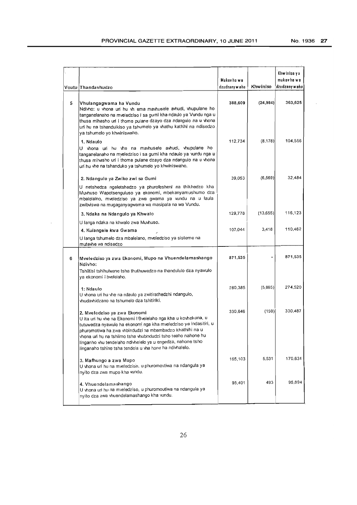|   | Voutu Thandavhudzo                                                                                                                                                                                                                                                                                                                                                                                                       | Mukov ho wa<br>dzudzany w aho | Khwiniso  | Khwiniso y a<br>mukov ha wa<br>dzudzany waho |
|---|--------------------------------------------------------------------------------------------------------------------------------------------------------------------------------------------------------------------------------------------------------------------------------------------------------------------------------------------------------------------------------------------------------------------------|-------------------------------|-----------|----------------------------------------------|
| 5 | Vhulangagwama ha Vundu<br>Ndivho: u vhona un hu vh ema mavhusele avhudi, vhupulane ho<br>tanganelanaho na mveledziso i sa gumi kha ndaulo ya Vundu nga u<br>thusa mihasho uri i thome pulane dzayo dza ndangulo na u vhona<br>uri hu na tshandulkiso ya tshumelo ya vhathu kathihi na ndisedzo<br>ya tshumelo yo khwiniswaho.                                                                                            | 388,609                       | (24, 984) | 363,625                                      |
|   | 1. Ndaulo<br>U vhona un hu vhe na mavhusele avhudi, vhupulane ho<br>tanganelanaho na mveledziso i sa gumi kha ndaulo ya vundu nga u<br>thusa mihasho uri i thome pulane dzayo dza ndangulo na u vhona<br>un hu vhe na tshanduko ya tshumelo yo khwiniswaho.                                                                                                                                                              | 112,734                       | (8, 178)  | 104,556                                      |
|   | 2. Ndangulo ya Zwiko zwi sa Gumi<br>U netshedza ngeletshedzo ya phurofesheni na thikhedzo kha<br>Muvhuso Wapotsenguluso ya ekonomi, mbekanyamushumo dza<br>mbalelalno, mveledziso ya zwa gwama ya vundu na u laula<br>zwibviswa na mugaganyagwama wa masipala na wa Vundu.                                                                                                                                               | 39,053                        | (6, 569)  | 32.484                                       |
|   | 3. Ndaka na Ndangulo ya Khwalo                                                                                                                                                                                                                                                                                                                                                                                           | 129,778                       | (13,655)  | 116,123                                      |
|   | U langa ndaka na khwalo zwa Muvhuso.                                                                                                                                                                                                                                                                                                                                                                                     |                               |           |                                              |
|   | 4. Kulangele kwa Gwama<br>U langa tshumelo dza mbalelano, mveledziso ya sisteme na<br>mutevhe wa ndisedzo                                                                                                                                                                                                                                                                                                                | 107,044                       | 3,418     | 110,462                                      |
| 6 | Mveledziso ya zwa Ekonomi, Mupo na Vhuendelamashango<br>Ndivho:<br>Tshiitisi tshihulwane tsha thuthuwedzo na thandululo dza nyawulo<br>ya ekonomi i bvelelaho.                                                                                                                                                                                                                                                           | 871,535                       |           | 871,535                                      |
|   | 1: Ndaulo<br>U vhona uri hu vhe na ndaulo ya zwitirathedzhi ndangulo,<br>vhudavhidzano na tshumelo dza tshitiriki,                                                                                                                                                                                                                                                                                                       | 280,385                       | (5,865)   | 274.520                                      |
|   | 2. Mveledziso ya zwa Ekonomi<br>U ita uri hu vhe na Ekonomi I Bvelelaho nga kha u kovhekana, u<br>tutuwedza nyawulo ha ekonomi nga kha mveledziso ya indasitiri, u<br>phuromotiwa ha zwa vhbindudzi na mbambadzo khathihi na u<br>vhona un hu na tshiimo tsha vhubindudzi tsho teaho nahone nu<br>linganho vhu tendelaho ndivhelelo ya u engedza, nahone tsho<br>linganaho tshine tsha tendela u vha hone ha ndivhalelo. | 330,646                       | (159)     | 330,487                                      |
|   | 3. Mafhungo a zwa Mupo<br>U vhona un hu na mveledziso, u phuromoutiwa na ndangula ya<br>nyito dza zwa mupo kha vundu.                                                                                                                                                                                                                                                                                                    | 165,103                       | 5,531     | 170,634                                      |
|   | 4. Vhuendelamashango<br>U vhona un hu na mveledziso, u phuromoutiwa na ndangula ya<br>nyito dza zwa vhuendelamashango kha vundu.                                                                                                                                                                                                                                                                                         | 95,401                        | 493       | 95,894                                       |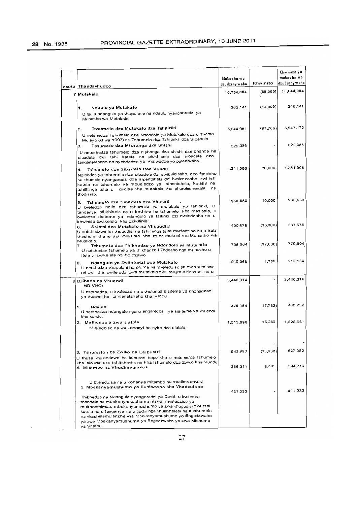$\ddot{\phantom{0}}$ 

|                                                                                                                                                                                                                                                                                                                              | Mukov ha wa<br>dzudzany w əhn | Khwiniso | Khwiniso y a<br>mukav ha wa<br>dzudzany w aho |
|------------------------------------------------------------------------------------------------------------------------------------------------------------------------------------------------------------------------------------------------------------------------------------------------------------------------------|-------------------------------|----------|-----------------------------------------------|
| Voutu Thandavhudzo                                                                                                                                                                                                                                                                                                           | 10,704,084                    | (60,000) | 10,644,084                                    |
| 7 Mutakalo<br>Ndaulo ya Mutakalo<br>1.                                                                                                                                                                                                                                                                                       | 262,141                       | (14,000) | 248,141                                       |
| U laula ndangulo ya vhupulane na ndaulo nyanganredzi ya<br>Muhasho wa Mutakalo                                                                                                                                                                                                                                               |                               |          |                                               |
| Tshumelo dza Mutakalo dza Tshitiriki<br>2.<br>U netshedza Tshumelo dza Ndondolo ya Mutakalo dza u Thoma<br>Mulayo 63 wa 1997) na Tshumelo dza Tshitinki dza Sibadela                                                                                                                                                         | 5.644,961                     | (97.786) | 5,547,175                                     |
| Tshumelo dza Mishonga dza Shishi<br>3.<br>U netsshedza tshumelo dza nishonga dza shishi dza phanda ha<br>sibadela zwi tshi katela na pfukhisela dza sibadela dzo<br>tanganelanaho na nyendedzo ya vhalwadze yo pulaniwaho.                                                                                                   | 522.386                       |          | 522,386                                       |
| Tshumelo dza Sibadela tsha Vundu<br>4.<br>Ndisedzo ya tshumelo dza sibadela dzi swikeleleaho, dzo fanelaho<br>na thumelo nyangaredzi dza sipentshela dzi bveledzeaho, zwi tshi<br>katela na tshumelo ya mbueledzo ya sipentshela, kathihi na<br>tshiftinga tsha u gudisa vha mutakalo vha phurofeshenala<br>na<br>thodisiso. | 1,211,096                     | 70,000   | 1,281,096                                     |
| Tshumelo dza Sibadela dza Vhukati<br>5.<br>U bveledza ndila dza tshumelo ya mutakalo ya tshitiriki, u<br>tanganya pfukhisela na u kovhiwa ha tshumelo kha masipala, u<br>bveledza sisiteme ya ndangulo ya tsitiriki dzi bveledzaho na u<br>khwinisa tswikelelo kha dzikiliniki.                                              | 955,650                       | 10,000   | 965,650                                       |
| Saintsi dza Mutakalo na Vhugudisi<br>6.<br>U netshedzwa ha vhugudisi na tshifhinga tsha mveledziso hu u itela<br>vhashumi vha re vha vhukuma vha re na vhukoni vha Muhasho wa                                                                                                                                                | 400,578                       | (13,000) | 387,578                                       |
| Mutakaio.<br>Tshumelo dza Thikhedzo ya Ndondolo ya Mutakalo<br>7.<br>U netshedza tshumelo ya thikhedzo i Todeaho nga muhasho u<br>itela u swikelela ndivho dzawo.                                                                                                                                                            | 796,904                       | (17,000) | 779,904                                       |
| Ndangulo ya Zwileludzi zwa Mutakalo<br>8.<br>U netshedza vhupulani ha pfuma na mveledziso ya zwishumiswa<br>un zwi vhe zwileludzi zwa mutakalo zwi tangane-dzeaho, na u                                                                                                                                                      | 910,368                       | 1,786    | 912,154                                       |
| 8 Dzibada na Vhuendi<br>NDIVHO:                                                                                                                                                                                                                                                                                              | 3,440,314                     |          | 3,440,314                                     |
| U netshedza, u bveledza na u vhulunga sisiteme ya khonadzeo<br>va vhuendi ho tanganelanaho kha vundu.                                                                                                                                                                                                                        |                               |          |                                               |
| 1.<br>Ndaulo<br>U netshedza ndangulo nga u angaredza ya sisiteme ya vhuendi<br>kha wndu.                                                                                                                                                                                                                                     | 475,984                       | (7, 732) | 468,252                                       |
| 2. Mafhungo a zwa sialala<br>Mveledziso na vhukonanyi ha nyito dza sialala.                                                                                                                                                                                                                                                  | 1,513,696                     | 15.265   | 1,528,961                                     |
| 3. Tshumelo dza Zwiko na Laiburari<br>U thusa vhulaedzwa ha laiburari hapo kha u netshedza tshumelo                                                                                                                                                                                                                          | 642,990                       | (15,938) | 627.052                                       |
| kha laiburan dza tshitshavha na kha tshumelo dza Zwiko kha Vundu<br>4. Mitambo na Vhudimvumvusi                                                                                                                                                                                                                              | 386,311                       | 8.405    | 394,716                                       |
| U bveledzisa na u konanya mitambo na vhudimvumvusi<br>5. Mbekanyamushumo yo livhiswaho kha Vhadzulapo<br>Thikhedzo na Ndangulo nyangaredzi ya Davhi, u bveledza                                                                                                                                                              | 421,333                       |          | 421,333                                       |
| thandela na mbekanyamushumo ntswa, mveledziso ya<br>mukhonthiraka, mbekanyamushumo ya zwa vhugudisi zwi tshi<br>katela na u tanganya na u guda nga vhulavhelesi ha kushumele<br>na vhashelamulenzhe vha Mbekanyamushumo yo Engedzwaho<br>ya zwa Mbekanyamushumo yo Engedzwaho ya zwa Mishumo<br>ya Vhathu.                   |                               |          |                                               |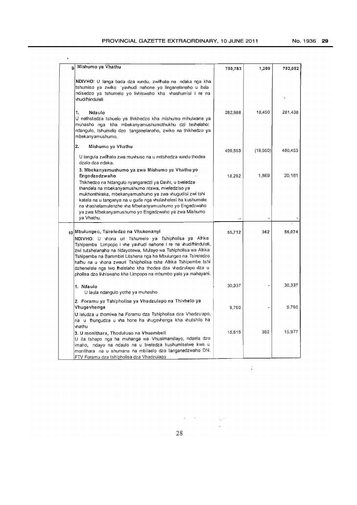$\sim$   $\sim$ 

| Mishumo ya Vhathu<br>9                                                                                                                                                                                                                                                                                                                                                                                                                                                                                   | 780,783 | 1,269    | 782,052 |
|----------------------------------------------------------------------------------------------------------------------------------------------------------------------------------------------------------------------------------------------------------------------------------------------------------------------------------------------------------------------------------------------------------------------------------------------------------------------------------------------------------|---------|----------|---------|
| NDIVHO: U langa bada dza vundu, zwifhato na ndaka nga kha<br>tshumiso ya zwiko 'yavhudi nahone yo linganelanaho u itela<br>ndisedzo ya tshumelo yo livhiswaho kha vhashumisi i re na<br>vhudifhinduleli                                                                                                                                                                                                                                                                                                  |         |          |         |
| 1.<br>Ndaulo<br>U nethstedza tshuelo ya thikhedzo kha mishumo mihulwane ya<br>muhasho nga kha mbekanyamushumothukhu dzi tevhelaho:<br>ndangulo, tshumelo dzo tanganelanaho, zwiko na thikhedzo ya<br>mbekanyamushumo.                                                                                                                                                                                                                                                                                    | 262,988 | 18 450   | 281,438 |
| 2.<br>Mishumo ya Vhathu<br>U langula zwifhato zwa muvhuso na u netshedza vundu thodea<br>dzalo dza ndaka.                                                                                                                                                                                                                                                                                                                                                                                                | 499,503 | (19,050) | 480,453 |
| 3. Mbekanyamushumo ya zwa Mishumo ya Vhathu yo<br>Engedzedzwaho<br>Thikhedzo na Ndangulo nyangaredzi ya Davhi, u bveledza<br>thandela na mbekanyamushumo ntswa, mveledziso ya<br>mukhonthiraka, mbekanyamushumo ya zwa vhugudisi zwi tshi<br>katela na u tanganya na u guda nga vhulavhelesi ha kushumele<br>na vhashelamulenzhe vha Mbekanyamushumo yo Engedzwaho<br>ya zwa Mbekanyamushumo yo Engedzwaho ya zwa Mishumo<br>ya Vhathu.                                                                  | 18,292  | 1,869    | 20,161  |
|                                                                                                                                                                                                                                                                                                                                                                                                                                                                                                          |         |          |         |
| 10 Mbulungeo, Tsireledzo na Vhukonanyi<br>NDIVHO: U vhona uri Tshumelo ya Tshipholisa ya Afrika<br>Tshipembe Limpopo i vhe yavhudi nahone I re na vhudifhinduleli,<br>zwi tutshelanaho na Ndayotewa, Mulayo wa Tshipholisa wa Afrika<br>Tshipembe na Bammbiri Litshena nga ha Mbulungeo na Tsireledzo<br>hafhu na u vhona zwaun Tshipholisa tsha Afrika Tshipembe tshi<br>dzhenelele nga lwo fhelelaho kha thodea dza vhadzulapo dza u<br>pholisa dzo livhiswaho kha Limpopo na mbumbo yalo ya mahayani. | 55,712  | 362      | 56,074  |
| 1. Ndaulo<br>U laula ndangulo yothe ya muhasho                                                                                                                                                                                                                                                                                                                                                                                                                                                           | 30,337  |          | 30,337  |
| 2. Foramu ya Tshipholisa ya Vhadzulapo na Thivhelo ya<br>Vhugevhenga<br>U leludza u thomiwa ha Foramu dza Tshipholisa dza Vhadzulapo,<br>na u fhungudza u vha hone ha vhugevhenga kha vhutshilo ha                                                                                                                                                                                                                                                                                                       | 9,760   |          | 9,760   |
| vhathu<br>3. U monithara, Thoduluso na Vhuambeli<br>U ita tshapo nga ha muhanga wa Vhusimamilayo, ndaela dzo<br>imaho, ndayo na ndaulo na u bveledza kushumiselwe kwa u<br>monithara na u shumana na mbilaelo dzo tanganedzwaho DN:<br>FTV Foramu dza tshipholisa dza Vhadzulapo                                                                                                                                                                                                                         | 15,615  | 362      | 15,977  |

 $\mathbb{R}^2$ 

28

 $\label{eq:2.1} \mathcal{L}=\mathcal{L}^{\text{max}}\left(\mathcal{L}^{\text{max}}\right) \quad \text{and} \quad \mathcal{L}^{\text{max}}$ 

 $\hat{\theta}$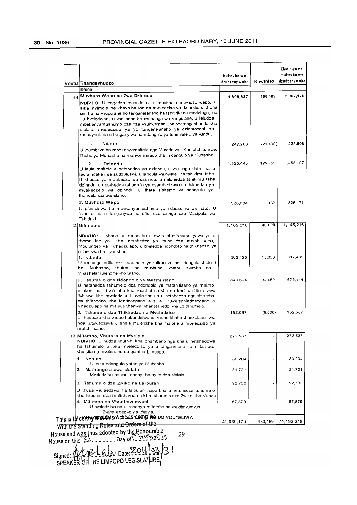$\mathcal{L}$ 

|    | Voutu Thandavhudzo<br>R'000                                                                                                                                                                                                                                                                                                                                                                                                                               | Mukov ho wo<br>dzudzany w aho | Khwiniso  | Khwinisa y a<br>mukav ha wa<br>dzudzany w aho |
|----|-----------------------------------------------------------------------------------------------------------------------------------------------------------------------------------------------------------------------------------------------------------------------------------------------------------------------------------------------------------------------------------------------------------------------------------------------------------|-------------------------------|-----------|-----------------------------------------------|
|    | Muvhuso Wapo na Zwa Dzinndu                                                                                                                                                                                                                                                                                                                                                                                                                               |                               |           | 2,007,176                                     |
| 11 | NDIVHO: U engedza maanda na u monithara muvhuso wapo, u<br>sika nyimele ine khayo ha vha na mveledziso ya dzinndu, u vhona<br>un hu na vhupulane ho tanganelanaho ha tshitiriki na madzingu, na<br>u bveiedzisa, u vha hone ha muhanga wa vhupulane, u leludza<br>mbekanyamushumo dza dza vhukwamani ha vharangaphanda vha<br>sialala, mveledziso ya yo tanganelanaho ya dzidoroboni na<br>mahayani, na u tanganyiwa ha ndangulo ya tshinyalelo ya vundu. | 1,898,687                     | 108,489   |                                               |
|    | 1.<br>Ndaulo                                                                                                                                                                                                                                                                                                                                                                                                                                              | 247,208                       | (21, 400) | 225,808                                       |
|    | U vhumbiwa ha mbekanyamaitele nga Murado wa Khorotshitumbe,<br>Thoho ya Muhasho na vhanwe mirado vha ndangulo ya Muhasho.                                                                                                                                                                                                                                                                                                                                 |                               |           |                                               |
|    | 2.<br>Dzinndu<br>U laula maitele a netshedzo ya dzinndu, u vhulunga data, na u<br>laula ndaka i sa sudzuluswi, u langula vhunwaleli na tshikimu tsha<br>thikhedzo ya mutikedzo wa dzinndu, u netshedza tshikimu tsha<br>dzinndu, u netshedza tshumelo ya nyambedzano na thikhedzo ya<br>mutikedzelo wa dzinndu. U fhata sisiteme ya ndangulo ya<br>thandela dzi bvelelaho.                                                                                | 1.325,445                     | 129,752   | 1,455,197                                     |
|    | 3. Muvhuso Wapo                                                                                                                                                                                                                                                                                                                                                                                                                                           | 326,034                       | 137       | 326,171                                       |
|    | U pfumbiswa ha mbekanyamushumo ya ndadzo ya zwifhato. U<br>leludza na u tanganywa ha ofisi dza dzingu dza Masipala wa<br>Tshitiriki.                                                                                                                                                                                                                                                                                                                      |                               |           |                                               |
|    | 12 Ndondolo                                                                                                                                                                                                                                                                                                                                                                                                                                               | 1,105,216                     | 40,000    | 1,145,216                                     |
|    | NDIVHO: U vhona uri muhasho u swikelel mishumo yawo ya u<br>thoma ine ya vha: netshedzo ya thuso dza matshilisano,<br>Mbulungeo ya Vhadzulapo, u bveledza ndondolo na thikhedzo ya<br>u fheliswa ha yhushai.<br>1. Ndaulo<br>U vhulunga ndila dza tshumelo ya thikhedzo na ndangulo vhukati<br>Muhasho, vhukati ha muvhuso, vhathu zwavho na<br>ha<br>Vhashelamulenzhe vho teaho,                                                                         | 302,435                       | 15.050    | 317,485                                       |
|    | 2. Tshumelo dza Ndondolo ya Matshilisano<br>U netshedza tshumelo dza ndondolo ya matshilisano ya mairno<br>vhukoni na i bvelelaho kha vhashai na vha sa koni u diitela zwo<br>livhiswa kha mveledziso i bvelelaho na u netshedza ngeletshedzo.<br>na thikhedzo kha Madzangano a si a MuvhusoMadzangano a<br>Vhadzulapo na manwe vhanwe vhanetshedzi vha dzitshumelo.                                                                                      | 640,694                       | 34,450    | 675,144                                       |
|    | 3. Tshumelo dza Thikhedzo na Mveledziso<br>U thusedza kha vhupo hukundelwaho vhune khaho vhadzulapo vha<br>nga tutuwedziwa u shela mulenzhe kha maitele a mveledziso ya<br>matshilisano.                                                                                                                                                                                                                                                                  | 162,087                       | (9,500)   | 152,587                                       |
|    | 13 Mitambo, Vhutsila na Mvelele<br>NDIVHO: U hudza vhuthihi kha phambano nga kha u netshedzwa<br>ha tshumelo u itela mveledziso ya u tanganelana ha mitambo,<br>vhutsila na mvelele hu sa gumiho Limpopo.                                                                                                                                                                                                                                                 | 272,537                       |           | 272,537                                       |
|    | 1. Ndaulo                                                                                                                                                                                                                                                                                                                                                                                                                                                 | 80,204                        |           | 80,204                                        |
|    | U laula ndangulo yothe ya Muhasho<br>2. Mafhungo a zwa sialala<br>Mveledziso na vhukonanyi ha nyito dza sialala.                                                                                                                                                                                                                                                                                                                                          | 31,721                        |           | 31,721                                        |
|    | 3. Tshumelo dza Zwiko na Laiburari                                                                                                                                                                                                                                                                                                                                                                                                                        | 92,733                        |           | 92,733                                        |
|    | U thusa vhulaedzwa ha laiburari hapo kha u netshedza tshumelo<br>kha laiburari dza tshitshavha na kha tshumelo dza Zwiko kha Vundu<br>4. Mitambo na Vhudimvumvusi<br>U bveledzisa na u konanya mitambo na vhudimvumvusi                                                                                                                                                                                                                                   | 67,879                        |           | 67,879                                        |
|    | Zwine khazwo ha vha na:<br>his is to c <del>entry that this Actual and provided</del> do vouteliw a<br><b>With the Standing Rules and Orders of the</b>                                                                                                                                                                                                                                                                                                   | 41,060,179                    | 133,169   | 41,193,348                                    |

 $\frac{1}{2}$ With the Standing Rules and Globes of the<br>House and was thus adopted by the Honourable<br>House on this 29

Signed: MORAL CALA Date: 2011 33 |53./3 |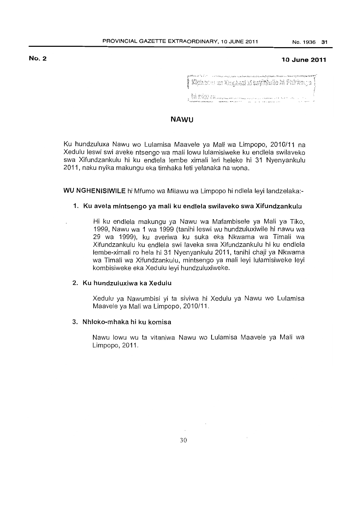# No.2

### 10 June 2011

| المستراب والمستوجبتين |                    | $\sim$ 5 GeV and $\sim$ 5 GeV and the state of the constant of the second contract the state of EPS $_0^{\circ}$<br>$\int \mathcal{L}^2 \mathbb{R}^d$ is a similar in the space $\mathbb{R}^d$ is the state $\int \mathcal{L}^2 \mathbb{R}^d$ |
|-----------------------|--------------------|-----------------------------------------------------------------------------------------------------------------------------------------------------------------------------------------------------------------------------------------------|
|                       | , MENS INGSTRATION |                                                                                                                                                                                                                                               |

# NAWU

Ku hundzuluxa Nawu wo Lulamisa Maavele ya Mali wa Limpopo, 2010/11 na Xedulu leswi swi aveke ntsengo wa mali lowu lulamisiweke ku endlela swilaveko swa Xifundzankulu hi ku endlela lembe ximali leri heleke hi 31 Nyenyankulu 2011, naku nyika makungu eka timhaka leti yelanaka na wona.

WU NGHENISIWILE hi Mfumo wa Milawu wa Limpopo hi ndlela leyi landzelaka:-

### 1. Ku avela mintsengo ya mali ku endlela swilaveko swa Xifundzankulu

Hi ku endlela makungu ya Nawu wa Mafambisele ya Mali ya Tiko, 1999, Nawu wa 1 wa 1999 (tanihi leswi wu hundzuluxiwile hi nawu wa 29 wa 1999), ku averiwa ku suka eka Nkwama wa Timali wa Xifundzankulu ku endlela swi laveka swa Xifundzankulu hi ku endlela lembe-ximali ro hela hi 31 Nyenyankulu 2011, tanihi chaji ya Nkwama wa Timali wa Xifundzankulu, mintsengo ya mali leyi lulamisiweke leyi kombisiweke eka Xedulu leyi hundzuluxiweke.

## 2. Ku hundzuluxiwa ka Xedulu

Xedulu ya Nawumbisi yi ta siviwa hi Xedulu ya Nawu wo Lulamisa Maavele ya Mali wa Limpopo, 2010/11.

### 3. Nhloko-mhaka hi ku komisa

Nawu lowu wu ta vitaniwa Nawu wo Lulamisa Maavele ya Mali wa Limpopo, 2011.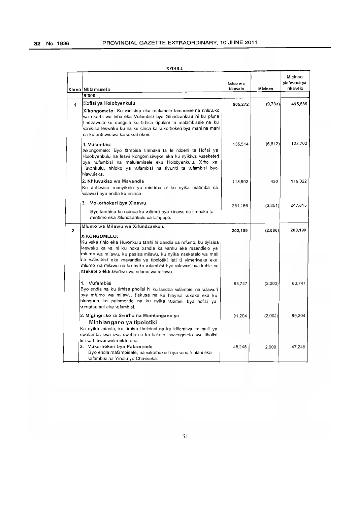|                | Xiavo Mhlamuselo<br>R'000                                                                                                                                                                                                                                                                                                                                                                                                           | Ncico w a<br>Nkavelo | Micinco  | Micinco<br>yin'wana ya<br>nkavelo |
|----------------|-------------------------------------------------------------------------------------------------------------------------------------------------------------------------------------------------------------------------------------------------------------------------------------------------------------------------------------------------------------------------------------------------------------------------------------|----------------------|----------|-----------------------------------|
| 1              | Hofisi ya Holobyenkulu                                                                                                                                                                                                                                                                                                                                                                                                              | 505,272              | (9,733)  | 495,539                           |
|                | Xikongomelo: Ku vonisisa eka mafumele lamanene na nhluvuko<br>wa nkarhi wo leha eka Vufambisi bya Xifundzankulu hi ku pfuna<br>tindzawulo ku sungula ku tirhisa tipulani ta mafambisele na ku<br>vonisisa leswaku ku na ku cinca ka vukorhokeri bya mani na mani<br>na ku antswisiwa ka vukorhokeri.                                                                                                                                |                      |          |                                   |
|                | 1. Vufambisi<br>Xikongomelo: Byo fambisa timhaka ta le ndzeni ta Hofisi ya<br>Holobyenkulu na leswi kongomisiweke eka ku nyikiwa wseketeri<br>bya vufambisi na malulamisele eka Holobyenkulu, Xirho xa<br>Huvonkulu, nhloko ya vufambisi na tiyuniti ta vufambisi byo<br>hlawuleka.                                                                                                                                                 | 135.514              | (6, 812) | 128,702                           |
|                | 2. Nhluvukiso wa Mavandla<br>Ku antswisa manyikelo ya mintirho hi ku nyika matimba na<br>wlawuri byo endla ku ncinca                                                                                                                                                                                                                                                                                                                | 118.592              | 430      | 119.022                           |
|                | 3. Vokorhokeri bya Xinawu<br>Byo fambisa ku ncinca ka vutirheli bya xinawu na timhaka ta<br>mintirho eka Xifundzankulu xa Limpopo.                                                                                                                                                                                                                                                                                                  | 251,166              | (3,351)  | 247,815                           |
| $\overline{2}$ | Mfumo wa Milawu wa Xifundzankulu<br>XIKONGOMELO:<br>Ku veka tihlo eka Huvonkulu tanihi hi xandla xa mfumo, ku tiyisisa<br>leswaku ka va ni ku hoxa xandla ka vanhu eka maendlelo ya<br>mfumo wa milawu, ku pasisa milawu, ku nyika nseketelo wa mali<br>na vufambisi eka mavandla ya tipolotiki leti ti yimenwaka eka<br>mfumo wa milawu na ku nyika wfambisi bya wlawuri bya kahle na<br>nseketelo eka swirho swa mfumo wa milawu. | 202.199              | (2,000)  | 200,199                           |
|                | 1. Vufambisi<br>Byo endla na ku tirhisa pholisi hi ku landza wfambisi na wlawuri<br>bya mfumo wa milawu, tlakusa na ku hiayisa wxaka eka ku<br>hlangana ka palamende na ku nyika vutimeli bya hofisi ya<br>vumatsalani eka vafambisi.                                                                                                                                                                                               | 65,747               | (2,000)  | 63,747                            |
|                | 2. Migingiriko ra Swirho na Minhlangano ya<br>Minhlangano ya tipolotiki<br>Ku nyika miholo, ku tirhisa thelefoni na ku klilemiwa ka mali ya<br>swofamba swa swa swirho na ku hakelo swiengetelo swa tihofisi<br>leti va hlawuriweke eka tona                                                                                                                                                                                        | 91,204               | (2,000)  | 89,204                            |
|                | 3. Vukorhokeri bya Palamende<br>Byo endla mafambisele, na vukorhokeri bya vumatsalani eka<br>vafambisi na Yindlu yo Chaviseka.                                                                                                                                                                                                                                                                                                      | 45,248               | 2,000    | 47,248                            |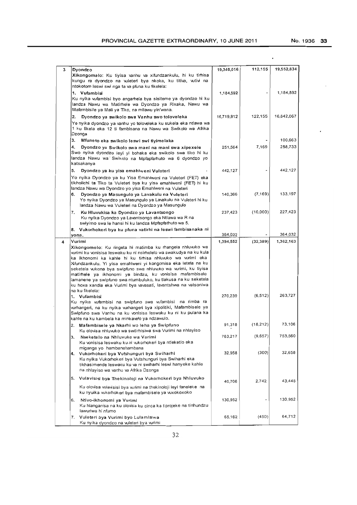| 3 | Dyondzo                                                                                                                                                                                                                                                                                                                                                                                                                                                                                                                          | 19,340,016 | 112,155   | 19,552,834 |
|---|----------------------------------------------------------------------------------------------------------------------------------------------------------------------------------------------------------------------------------------------------------------------------------------------------------------------------------------------------------------------------------------------------------------------------------------------------------------------------------------------------------------------------------|------------|-----------|------------|
|   | Xikongomelo: Ku tiyisa vanhu va xifundzankulu, hi ku tirhisa<br>kungu ra dyondzo na vuleteri bya nkoka, ku titiva, vutivi na<br>ntokotom leswi swi nga ta va pfuna ku fikelela:                                                                                                                                                                                                                                                                                                                                                  |            |           |            |
|   | 1. Vufambisi<br>Ku nyika vufambisi byo angarhela bya sisiteme ya dyondzo hi ku<br>landza Nawu wa Matirhele wa Dyondzo ya Rixaka, Nawu wa<br>Mafambisile ya Mali ya Tiko, na milawu yin'wana.                                                                                                                                                                                                                                                                                                                                     | 1,184,592  |           | 1,184,592  |
|   | Dyondzo ya swikolo swa Vanhu swo toloveleka<br>2.<br>Yo nyika dyondzo ya vanhu yo toloveleka ku sukela eka ntlawa wa<br>1 ku fikela eka 12 ti fambisana na Nawu wa Swikolo wa Afrika<br>Dzonga                                                                                                                                                                                                                                                                                                                                   | 16,719,912 | 122,155   | 16,842,067 |
|   | 3.<br>Mfuneto eka swikolo leswi swi tiyimelaka                                                                                                                                                                                                                                                                                                                                                                                                                                                                                   |            |           | 100,663    |
|   | 4.<br>Dyondzo ya Swikolo swa mani na mani swa xipexele<br>Swo nyika dyondzo leyi yi bohaka eka swikolo swa tiko hi ku<br>landza Nawu wa Swikolo na Mpfapfarhuto wa 6 dyondzo yo<br>katsakanya                                                                                                                                                                                                                                                                                                                                    | 251,564    | 7,169     | 258,733    |
|   | 5.<br>Dyondzo ya ku yisa emahlweni Vuleteri                                                                                                                                                                                                                                                                                                                                                                                                                                                                                      | 442,127    |           | 442,127    |
|   | Yo nyika Dyondzo ya ku Yisa Emahlweni na Vuleten (FET) eka<br>tikholichi ta Tiko ta Vuleteri bya ku yisa emahlweni (FET) hi ku<br>landza Nawu wa Dyondzo yo yisa Emahlweni na Vuleteni                                                                                                                                                                                                                                                                                                                                           |            |           |            |
|   | Dyondzo ya Masungulo ya Lavakulu na Vuleteri<br>6.<br>Yo nyika Dyondzo ya Masungulo ya Lavakulu na Vuleten hi ku<br>landza Nawu wa Vuleteri na Dyondzo ya Masungulo                                                                                                                                                                                                                                                                                                                                                              | 140,366    | (7, 169)  | 133,197    |
|   | Ku Hluvukisa ka Dyondzo ya Lavantsongo<br>7.<br>Ku nyika Dyondzo ya Lavantsongo eka Ntlawa wa R na<br>swiyimo swa le hansi hi ku landza Mpfapfathuto wa 5.                                                                                                                                                                                                                                                                                                                                                                       | 237,423    | (10,000)  | 227,423    |
|   | 8. Vukorhokeri bya ku pfuna vatirhi na leswi fambisanaka ni                                                                                                                                                                                                                                                                                                                                                                                                                                                                      | 364,032    |           | 364,032    |
| 4 | yona.<br>Vurimi                                                                                                                                                                                                                                                                                                                                                                                                                                                                                                                  | 1,394,552  | (32, 389) | 1,362,163  |
|   | Xikongomelo: Ku ringeta hi matimba ku rhangela nhluwko wa<br>wrimi ku vonisisa leswaku ku ni nsirhelelo wa swakudya na ku kula<br>ka ikhonomi ka kahle hi ku tirhisa nhluvuko wa vurimi eka<br>Xifundzankulu. Yi yisa emahlweni yi kongomisa eka letela na ku<br>seketela vukona bya swipfuno swa nhluvuko wa vunimi, ku tiyisa<br>matirhele ya ikhonomi ya bindzu, ku vonisisa mafambisele<br>lamanene ya swipfuno swa ntumbuluko, ku tlakusa na ku seketela<br>ku hoxa xandla eka Vurimi bya vavasati, lavantshwa na vatsoniwa |            |           |            |
|   | na ku fikelela:<br>1. Vufambisi                                                                                                                                                                                                                                                                                                                                                                                                                                                                                                  | 270,239    | (6, 512)  | 263,727    |
|   | Ku nyika vufambisi na swipfuno swa vufambisi  na rimba ra<br>wrhangeri, na ku nyika vurhangeri bya xipolitiki, Mafambisele ya<br>Swipfuno swa Vanhu na ku vonisisa leswaku ku ni ku pulana ka<br>kahle na ku kambela ka minkavelo ya ndzawulo.                                                                                                                                                                                                                                                                                   |            |           |            |
|   | 2. Mafambisele ya Nkarhi wo leha ya Swipfuno<br>Ku olovisa nhluvuko wa switirhisiwa swa Vurimi na nhlayiso                                                                                                                                                                                                                                                                                                                                                                                                                       | 91,318     | (18, 212) | 73,106     |
|   | 3.<br>Nseketelo na Nhluvuko wa Varimi<br>Ku vonisisa leswaku ku ni vukorhoken bya ntleketlo eka<br>miganga yo hambanahambana                                                                                                                                                                                                                                                                                                                                                                                                     | 763,217    | (9,657)   | 753,560    |
|   | Vukorhokeri bya Vutshunguri bya Swiharhi<br>4.<br>Ku nyika Vukorhoken bya Vutshungun bya Swiharhi eka<br>tikhasimende leswaku ku va ni swiharhi leswi hanyeke kahle<br>na nhlayiso wa vanhu va Afrika Dzonga                                                                                                                                                                                                                                                                                                                     | 32,958     | (300)     | 32,658     |
|   | Vulavisisi bya Thekinoloji na Vukorhokeri bya Nhluvuko<br>5.<br>Ku olovisa vulavisisi bya vurimi na thekinoloji leyi faneleke na                                                                                                                                                                                                                                                                                                                                                                                                 | 40,706     | 2,742     | 43,448     |
|   | ku nyuika wkorhokeri bya mafambisele ya wxokoxoko                                                                                                                                                                                                                                                                                                                                                                                                                                                                                |            |           |            |
|   | Ntivo-ikhonomi ya Vurimi<br>6.<br>Ku hlanganisa na ku olovisa ku cinca ka tiprojeke na tinhundzu<br>lawuriwa hi nfumo                                                                                                                                                                                                                                                                                                                                                                                                            | 130,952    |           | 130,952    |
|   | 7. Vuleteri bya Vurimi byo Lulamisiwa<br>Ku nyika dyondzo na wleten bya wrimi                                                                                                                                                                                                                                                                                                                                                                                                                                                    | 65,162     | (450)     | 64,712     |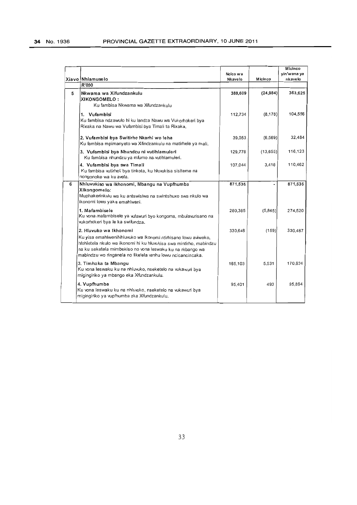|   | Xiavo Nhlamuselo<br>R'000                                                                                                                                                                                                                                                                | Ncico wa<br>Nkavelo | Micinco   | Micinco<br>yin'wana ya<br>nkavelo |
|---|------------------------------------------------------------------------------------------------------------------------------------------------------------------------------------------------------------------------------------------------------------------------------------------|---------------------|-----------|-----------------------------------|
| 5 | Nkwama wa Xifundzankulu<br>XIKONGOMELO:<br>Ku fambisa Nkwama wa Xifundzankulu                                                                                                                                                                                                            | 388,609             | (24, 984) | 363,625                           |
|   | 1. Vufambisi<br>Ku fambisa ndzawulo hi ku landza Nawu wa Vukorhoken bya<br>Rixaka na Nawu wa Vufambisi bya Timali ta Rixaka.                                                                                                                                                             | 112,734             | (8, 178)  | 104,556                           |
|   | 2. Vufambisi bya Switirho Nkarhi wo leha<br>Ku fambisa mpimanyeto wa Xifindzankulu na matimele ya mali.                                                                                                                                                                                  | 39,053              | (6, 569)  | 32,484                            |
|   | 3. Vufambisi bya Nhundzu ni vutihlamuleri<br>Ku fambisa nhundzu ya mfumo na vutihlamuleri.                                                                                                                                                                                               | 129,778             | (13, 655) | 116,123                           |
|   | 4. Vufambisi bya swa Timali<br>Ku fambisa vutirheli bya tinkota, ku hluvukisa sisiteme na<br>nongonoko wa ku avela.                                                                                                                                                                      | 107,044             | 3,418     | 110,462                           |
| 6 | Nhluvukiso wa Ikhonomi, Mbangu na Vupfhumba<br>Xikongomelo:<br>Muphakerinkulu wa ku antswisiwa na swintshuxo swa nkulo wa<br>ikonomi lowu yaka emahlweni.                                                                                                                                | 871,535             |           | 871,535                           |
|   | 1. Mafambisele<br>Ku vona mafambisele ya vulawuri byo kongoma, mbulavurisano na<br>vukorhoken bya le ka swifundza.                                                                                                                                                                       | 280,385             | (5,865)   | 274,520                           |
|   | 2. Hluvuko wa Ikhonomi<br>Ku yisa emahlweniNhluvuko wa Ikonomi ntirhisano lowu aviweke,<br>hlohletela nkulo wa ikonomi hi ku hluvukisa swa mintirho, mabindzu<br>na ku seketela mimbekiso no vona leswaku ku na mbango wa<br>mabindzu wo ringanela no fikelela vanhu lowu ncicancincaka. | 330,646             | (159)     | 330.487                           |
|   | 3. Timhaka ta Mbangu<br>Ku vona leswaku ku na nhluvuko, nseketelo na vukawuri bya<br>migingiriko ya mbango eka Xifundzankulu.                                                                                                                                                            | 165,103             | 5.531     | 170,634                           |
|   | 4. Vupfhumba<br>Ku vona leswaku ku na nhluvuko, nseketelo na vukawuri bya<br>migingiriko ya vupfhumba eka Xifundzankulu.                                                                                                                                                                 | 95,401              | 493       | 95,894                            |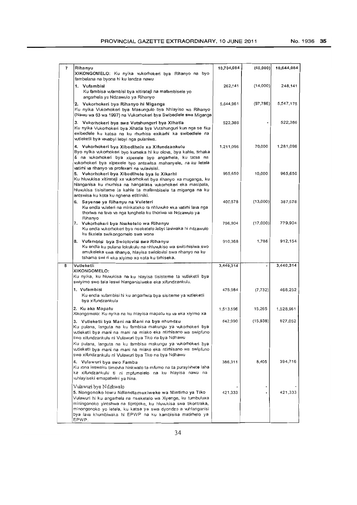| 7 | Rihanyu                                                                                                                                                                                                                                                                                                                                                                                                                           | 10,704,084 | (60, 000)                | 10,644,084 |
|---|-----------------------------------------------------------------------------------------------------------------------------------------------------------------------------------------------------------------------------------------------------------------------------------------------------------------------------------------------------------------------------------------------------------------------------------|------------|--------------------------|------------|
|   | XIKONGOMELO: Ku nyika vukorhokeri bya Rihanyo na byo<br>fambelana na byona hi ku landza nawu                                                                                                                                                                                                                                                                                                                                      |            |                          |            |
|   | 1. Vufambisi<br>Ku fambisa wfambisi bya xitirateji na mafambisele yo<br>angarhela ya Ndzawulo ya Rihanyo                                                                                                                                                                                                                                                                                                                          | 262,141    | (14,000)                 | 248,141    |
|   | 2. Vukorhokeri bya Rihanyo hi Miganga<br>Ku nyika Vukorhokeri bya Masungulo bya Nhlayiso wa Rihanyo<br>(Nawu wa 63 wa 1997) na Vukorhokeri bya Swibediele swa Miganga                                                                                                                                                                                                                                                             | 5,644,961  | (97, 786)                | 5,547,175  |
|   | 3.   Vukorhokeri bya swa Vutshunguri bya Xihatla<br>Ku nyika Vukorhokeri bya Xihatla bya Vutshunguri kun nga se fika<br>exibedlele ku katsa na ku rhurhisa exikarhi ka swibedlele na<br>wtleketli bya vavabyi lebyi nga pulaniwa.                                                                                                                                                                                                 | 522,386    |                          | 522,386    |
|   | 4.   Vukorhokeri bya Xibedlhele xa Xifundzankulu<br>Byo nyika vukorhoken byo kumeka hi ku olova, bya kahle, tirhaka<br>& na wkorhokeri bya xipexele byo angarhela, ku tatsa na<br>vukorhoken bya xipexele byo antswisa mahanyele, na ku letela<br>vatirhi va rihanyo va profexeni na vulavisisi.                                                                                                                                  | 1,211,096  | 70,000                   | 1,281,096  |
|   | 5. Vukorhokeri bya Xibedihele bya le Xikarhi<br>Ku hluvukisa xitirateji xa vukorhokeri bya rihanyo xa muganga, ku<br>hlanganisa ku rhurhisa na hangalasa vukorhokeri eka masipala,<br>hluvukisa tisisiteme ta kahle ta mafambisele ta miganga na ku<br>antswisa ku kota ku nghena etitliniki.                                                                                                                                     | 955,650    | 10,000                   | 965,650    |
|   | 6. Sayense ya Rihanyu na Vuleteri<br>Ku endla vuleteri na minkateko ra nhluvuko eka vatirhi lava nga<br>thoriwa na lava va nga lunghela ku thoriwa va Ndzawulo ya<br>Rihanyo                                                                                                                                                                                                                                                      | 400,578    | (13,000)                 | 387,578    |
|   | 7. Vukorhokeri bya Nseketelo wa Rihanyu<br>Ku endla vukorhokeri bya nseketelo lebyi laviwaka hi ndzawulo<br>ku fikelela swikongomelo swa wona                                                                                                                                                                                                                                                                                     | 796,904    | (17,000)                 | 779,904    |
|   | 8. Vufambisi bya Swiolovisi swa Rihanyu<br>Ku endla ku pulana lokukulu na nhluvukiso wa switimisiwa swo<br>amukeleka swa rihanyo, hlayisa swiolovisi swa rihanyo na ku<br>tshama swi n eka xiyimo xo kota ku timiseka.                                                                                                                                                                                                            | 910,368    | 1,786                    | 912,154    |
| 8 | Vutleketli                                                                                                                                                                                                                                                                                                                                                                                                                        | 3,440,314  | $\overline{\phantom{a}}$ | 3,440,314  |
|   | XIKONGOMELO:<br>Ku nyika, ku hluvukisa na ku hlayisa tisisteme ta vutleketli bya<br>swiyimo swo tala leswi hlanganisiweke eka xifundzankulu.                                                                                                                                                                                                                                                                                      |            |                          |            |
|   | 1. Vufambisi<br>Ku endla vufambisi hi ku angarhela bya sisiteme ya witleketli<br>bya xifundzankulu                                                                                                                                                                                                                                                                                                                                | 475,984    | (7, 732)                 | 468,252    |
|   | 2. Ku aka Mapatu<br>Xikongomelo: Ku nyika na ku hlayisa mapatu ku va eka xiyimo xa                                                                                                                                                                                                                                                                                                                                                | 1,513,696  | 15,265                   | 1,528,961  |
|   | 3. Vutleketli bya Mani na Mani na bya nhundzu<br>Ku pulana, languta na ku fambisa makungu ya vukorhokeri bya<br>vutleketli bya mani na mani na miako eka ntirhisano wa swiptuno.<br>swa xifundzankulu ni Vulawuri bya Tiko na bya Ndhawu<br>Ku pulana, languta na ku fambisa makungu ya wikorhoken bya<br>vutleketli bya mani na mani na miako eka ntirhisano wa swipfuno<br>swa xifundzankulu ni Vulawuri bya Tiko na bya Ndhawu | 642,990    | (15, 938)                | 627,052    |
|   | 4.   Vulawuri bya swo Famba<br>Ku vona leswaku timovha hinkwato ta mfumo na ta purayivhete laha<br>ka xifundzankulu ti ni mpfumelelo na ku hlayisa nawu na<br>whlayiseki emapatwini ya hina.                                                                                                                                                                                                                                      | 386,311    | 8,405                    | 394,716    |
|   | Vulawuri bya Ndzhwalo<br>5. Nongonoko lowu Ndlandlamuxiweke wa Mintirho ya Tiko<br>Vulawuri hi ku angarhela na nseketelo wa Xiyenge, ku tumbuluxa<br>miningonoko yintshwa na tiprojeke, ku hluvukisa swa tikontraka,<br>minongonoko yo letela, ku katsa ya swa dyondzo a whlanganisi<br>bya lava khumbiwaka hi EPWP na ku kambisisa matirhelo ya<br>EPWP.                                                                         | 421,333    |                          | 421,333    |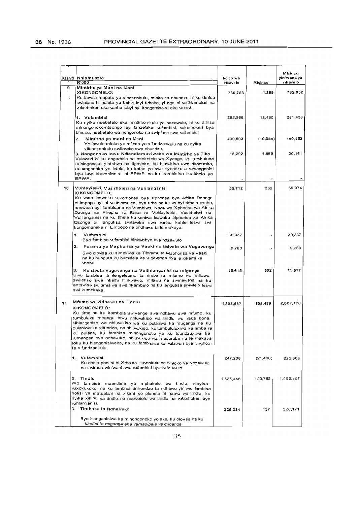|        | Xiayo   Nhlamuselo<br><b>R'000</b>                                                                                                                                                                                                                                                                                                                                                                                                                                     | Ncico wa<br>Nk ave lo | Mícinco   | Micinco<br>yin wana ya<br>nkavelo |
|--------|------------------------------------------------------------------------------------------------------------------------------------------------------------------------------------------------------------------------------------------------------------------------------------------------------------------------------------------------------------------------------------------------------------------------------------------------------------------------|-----------------------|-----------|-----------------------------------|
| 9<br>÷ | Mintirho ya Mani na Mani<br><b>XIKONGOMELO:</b><br>Ku lawula mapatu ya xindzankulu, miako na nhundzu hi ku tirhisa<br>swipfuno hi ndlela ya kahle leyi tirhaka, yi nga ni vutihlamuleri na<br>wkomokeri eka vanhu lebyi byi kongomisaka eka vaxavi.                                                                                                                                                                                                                    | 780,783               | 1,269     | 782,052                           |
|        | 1. Vufambisi<br>Ku nyika nseketelo eka mintirho-nkulu ya ndzawulo, hi ku tirhisa<br>minongonoko-ntsongo leyi lanzelaka: vufambisi, vukorhokeri bya<br>bindzu, nseketelo wa nongonoko na swipfuno swa vufambisi                                                                                                                                                                                                                                                         | 262,988               | 18,450    | 281,438                           |
|        | 2.<br>Mintirho ya mani na Mani<br>Yo lawula miako ya mfumo ya xifundzankulu na ku nyika<br>xifundzankulu swilaveko swa nhundzu.                                                                                                                                                                                                                                                                                                                                        | 499.503               | (19,050)  | 480,453                           |
|        | 3. Nongonoko lowu Ndlandlamuxiweke wa Mintirho ya Tiko<br>Vulawuri hi ku angarhela na nseketelo wa Xiyenge, ku tumbuluxa<br>miningonoko yintshwa na tiprojeke, ku hluvukisa swa tikontraka,<br>minongonoko yo letela, ku katsa ya swa dyondzo a whlanganisi<br>bya lava khumbiwaka hi EPWP na ku kambisisa matimelo ya<br>EPWP.                                                                                                                                        | 18,292                | 1,869     | 20,161                            |
| 10     | Vuhlayiseki, Vusirheleri na Vuhlanganisi<br>XIKONGOMELO:<br>Ku vona leswaku vukorhokeri bya Xiphorisa bya Afrika Dzonga<br>eLimpopo byi ni wtihlamuleri, bya tirha na ku va byi tirhela vanhu,<br>naswona byi fambisana na Vumbiwa, Nawu wa Xiphorisa wa Afrika<br>Dzonga na Phepha ro Basa ra Vuhlayiseki, Vusirheleri na<br>Vuhlanganisi na ku tihela ku voniwa leswaku Xiphorisa xa Afrika<br>Dzonga xi langutisa swilaveko swa vanhu kahle leswi swi               | 55,712                | 362       | 56,074                            |
|        | kongomaneke ni Limpopo na tindhawu ta le makaya.<br>Vufambisi<br>1.                                                                                                                                                                                                                                                                                                                                                                                                    | 30,337                |           | 30,337                            |
|        | Byo fambisa wfambisi hinkwabyo bya ndzawulo<br>2.<br>Foramu ya Maphorisa ya Vaaki na Nsivelo wa Vugevenga                                                                                                                                                                                                                                                                                                                                                              | 9,760                 |           | 9,760                             |
|        | Swo olovisa ku simekiwa ka Tiforamu ta Maphorisa ya Vaaki,<br>na ku hunguta ku humelela ka vugevenga bya le xikarhi ka<br>vanhu                                                                                                                                                                                                                                                                                                                                        |                       |           |                                   |
|        | з.<br>Ku sivela vugevenga na Vutihlanganisi na miganga<br>Swo fambisa tinhlengeletano ta rimba ra mfumo wa milawu,<br>swileriso swa nkarhi hinkwawo, milawu na swinawana na ku<br>antswisa switirhisiwa swa nkambelo na ku langutisa swivilelo leswi<br>swi kumekaka.                                                                                                                                                                                                  | 15,615                | 362       | 15,977                            |
| 11     | Mfumo wa Ndhawu na Tindiu<br>XIKONGOMELO:                                                                                                                                                                                                                                                                                                                                                                                                                              | 1,898,687             | 108,489   | 2,007,176                         |
|        | Ku tirha na ku kambela swiyenge swa ndhawu swa mfumo, ku<br>tumbuluxa mbangu lowu nhluwikiso wa tindlu wu vaka kona.<br>Nhlanganiso wa nhiuwkiso wa ku pulaniwa ka muganga na ku<br>pulaniwa ka xifundza, na nhluvukiso, ku tumbululuxiwa ka rimba ra<br>ku pulana, ku fambisa minongonoko ya ku tsundzuxiwa ka<br>wirhangeri bya ndhawko, nhluvukiso wa madoroba na le makaya<br>loku ku hlanganisiweke, na ku fambisiwa ka vulawun bya tinghozi<br>ta xifundzankulu. |                       |           |                                   |
|        | 1. Vufambisi<br>Ku endla pholisi hi Xirho xa Huvonkulu na Nhioko ya Ndzawulo<br>na swirho swin'wani swa vufambisi bya Ndzawulo.                                                                                                                                                                                                                                                                                                                                        | 247,208               | (21, 400) | 225,808                           |
|        | 2. Tindlu<br>Wo fambisa maendlele ya mphakelo wa tindlu, hlayisa<br>wxokoxoko, na ku fambisa tinhundzu ta ndhawu yin'we, fambisa<br>hofisi ya matsalani na xikimi xo pfuneta hi nxavo wa tindiu, ku<br>nyika xikimi xa tindlu na nseketelo wa tindlu na vukorhokeri bya<br>vuhlanganisi.                                                                                                                                                                               | 1,325,445             | 129,752   | 1,455,197                         |
|        | 3. Timhaka ta Ndhavuko                                                                                                                                                                                                                                                                                                                                                                                                                                                 | 326,034               | 137       | 326,171                           |
|        | Byo hlanganisiwa ka minongonoko yo aka, ku olovisa na ku<br>tihofisi ta miganga eka vamasipala va miganga                                                                                                                                                                                                                                                                                                                                                              |                       |           |                                   |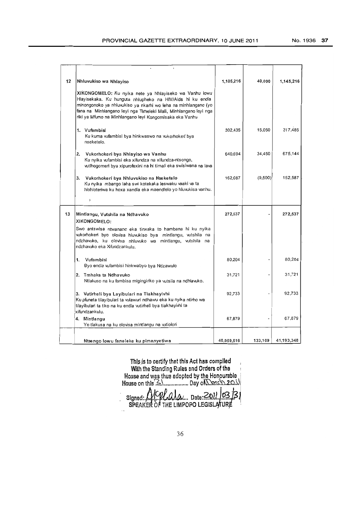| 12 | Nhluvukiso wa Nhlayiso                                                                                                                                                                                                                                                                                                | 1,105,216  | 40.000  | 1.145.216  |
|----|-----------------------------------------------------------------------------------------------------------------------------------------------------------------------------------------------------------------------------------------------------------------------------------------------------------------------|------------|---------|------------|
|    | XIKONGOMELO: Ku nyika nete ya Nhlayiseko wa Vanhu lowu<br>Hlayisekaka. Ku hunguta nhlupheko na HIV/Aids hi ku endla<br>minongonoko ya nhluvukiso ya nkarhi wo leha na minhlangano (yo<br>fana na Minhlangano leyi nga Tirheleki Mali, Minhlangano leyi nga<br>riki ya Mfumo na Minhlangano leyi Kongomisaka eka Vanhu |            |         |            |
|    | 1. Vufambisi<br>Ku kuma vufambisi bya hinkwaswo na vukorhokeri bya<br>nseketelo.                                                                                                                                                                                                                                      | 302,435    | 15,050  | 317,485    |
|    | 2. Vukorhokeri bya Nhlayiso wa Vanhu<br>Ku nyika vufambisi eka xifundza na xifundza-ntsongo,<br>vutlhogomeri bya xipurofexini na hi timali eka swisiwana na lava                                                                                                                                                      | 640,694    | 34,450  | 675,144    |
|    | 3.<br>Vukorhokeri bya Nhluvukiso na Nseketelo<br>Ku nyika mbango laha swi kotekaka leswaku vaaki va ta<br>hiohloteriwa ku hoxa xandla eka maendlelo yo hiuvukisa vanhu.                                                                                                                                               | 162,087    | (9,500) | 152,587    |
|    | Y                                                                                                                                                                                                                                                                                                                     |            |         |            |
| 13 | Mintlangu, Vutshila na Ndhavuko<br>XIKONGOMELO:<br>Swo antswisa ntwanano eka tinxaka to hambana hi ku nyika<br>vukorhokeri byo olovisa hluvukiso bya mintlangu, vutshila na<br>ndzhavuko, ku olovisa nhluvuko wa mintlangu, vutshila na<br>ndzhavuko eka Xifundzankulu.                                               | 272,537    |         | 272,537    |
|    | 1. Vufambisi<br>Byo endla vufambisi hinkwabyo bya Ndzawulo                                                                                                                                                                                                                                                            | 80.204     |         | 80.204     |
|    | 2. Tmhaka ta Ndhavuko<br>Ntlakuso na ku fambisa migingiriko ya vutsila na ndhlavuko.                                                                                                                                                                                                                                  | 31.721     |         | 31.721     |
|    | 3. Vutirheli bya Layibulari na Tiakhayivhi<br>Ku pfuneta tilayibulari ta vulawuri ndhawu eka ku nyika ntirho wa<br>tilayibulari ta tiko na ku endla vutirheli bya tiakhayivhi ta<br>xifundzankulu.                                                                                                                    | 92,733     |         | 92.733     |
|    | 4. Mintlangu<br>Yo tlakusa na ku olovisa mintlangu na vutiolori                                                                                                                                                                                                                                                       | 67,879     |         | 67.879     |
|    | Ntsengo lowu faneleke ku pimanyetiwa                                                                                                                                                                                                                                                                                  | 40,959,516 | 133,169 | 41,193,348 |

Thls.Js to certify that thIs Act has complied With the Standing Rules and Orders of the  $\qquad$  I House and was thus adopted by the Honpurable . House on this  $\mathbb{R}$ .................. Day of  $\mathbb{Q}$   $\mathbb{Q}$  . 2.0.1

Signed:. N. V. M. M. M. Date: 2011. 103. [3]<br>SPEAKER OF THE LIMPOPO LEGISLATURE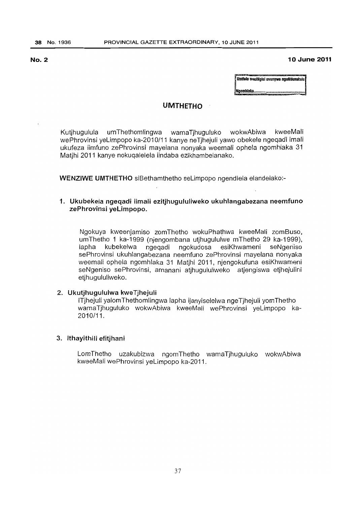# **No.2 10 June 2011**

Umtlolo wesiNgisi uvunywo nguNdunakulu Ngomhlaka.

# **UMTHETHO**

Kutjhugulula umThethomlingwa wamaTjhuguluko wokwAbiwa kweeMali wePhrovinsi yeLimpopo ka-2010/11 kanye neTjhejuli yawo obekele ngeqadi imali ukufeza iimfuno zePhrovinsi mayelana nonyaka weemali ophela ngomhlaka 31 Matihi 2011 kanye nokuqalelela iindaba ezikhambelanako.

WENZIWE UMTHETHO siBethamthetho seLimpopo ngendlela elandelako:-

# 1. Ukubekela ngeqadi iimali ezitjhugululiweko ukuhlangabezana neemfuno zePhrovinsi yeLimpopo.

Ngokuya kweenjamiso zomThetho wokuPhathwa kweeMali zomBuso, umThetho 1 ka-1999 (njengombana utjhugululwe mThetho 29 ka-1999), lapha kubekelwa ngeqadi ngokudosa esiKhwameni seNgeriiso sePhrovinsi ukuhlangabezana neemfuno zePhrovinsi mayelana nonyaka weemali ophela ngomhlaka 31 Matihi 2011, njengokufuna esiKhwameni seNgeniso sePhrovinsi, amanani atihugululiweko atiengiswa etihejulini etjhugululiweko.

# 2. Ukutihugululwa kweTihejuli

ITjhejuli yalomThethomlingwa lapha ijanyiselelwa ngeTjhejuli yomThetho wamaTjhuguluko wokwAbiwa kweeMali wePhrovinsi yeLimpopo ka-2010/11.

# 3. Ithayithili efitjhani

LomThetho uzakubizwa ngomThetho wamaTjhuguluko wokwAbiwa kweeMali wePhrovinsi yeLimpopo ka-2011.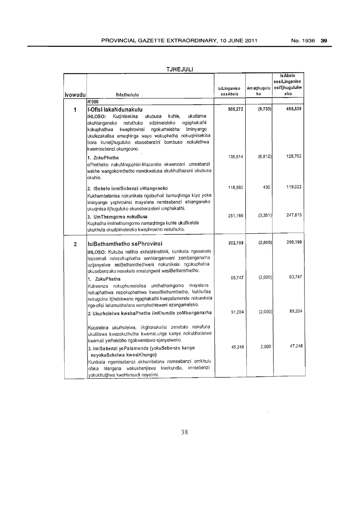# TJHEJULI

|                |                                                                                                                                                                                                                                                                                                                                                                                                                                                                                           | <b>isiLinganiso</b> | Am atjhugulu | is Abelo<br>sesiLinganiso<br>esiTjhugululiw |
|----------------|-------------------------------------------------------------------------------------------------------------------------------------------------------------------------------------------------------------------------------------------------------------------------------------------------------------------------------------------------------------------------------------------------------------------------------------------------------------------------------------------|---------------------|--------------|---------------------------------------------|
| lvowudu        | Ihlathululo                                                                                                                                                                                                                                                                                                                                                                                                                                                                               | sesAbelo            | ko           | eko                                         |
|                | R'000                                                                                                                                                                                                                                                                                                                                                                                                                                                                                     |                     |              |                                             |
| 1              | I-Ofisi lakaNdunakulu<br>ukutlama<br><b>IHLOSO:</b><br>Kuqinisekisa<br>ukubusa<br>kuhle,<br>ngaphakathi<br>okuhlangeneko<br>netuthuko<br>edzimeleleko<br>kwephrovinsi<br>ngokurhelebha<br>iminyango<br>kokuphathwa<br>ukufezakalisa amaqhinga wayo wokuphatha nokuqinisekisa<br>nokulethwa<br>bona kunetihuguluko ebasebenzini bombuso<br>kwemisebenzi okungcono.                                                                                                                         | 505,272             | (9, 733)     | 495,539                                     |
|                | 1. ZokuPhatha<br>oPhetheko nakuMnqophisi-Mazombe ekwenzeni umsebenzi<br>wakhe wangokomthetho newokwelusa ekukhuthazeni ukubusa<br>okuhle.                                                                                                                                                                                                                                                                                                                                                 | 135,514             | (6, 812)     | 128.702                                     |
|                | 2. ISekelo lemiSebenzi eHlangeneko<br>Kukhambelanisa nokunikela ngoburholi bamaqhinga kiyo yoke<br>iminyango yephrovinsi mayelana nemisebenzi ehlangeneko<br>ukuqinisa itjhuguluko ekusebenzeleni umphakathi.                                                                                                                                                                                                                                                                             | 118,592             | 430          | 119.022                                     |
|                | 3. UmThemgomo nokuBusa<br>Kuphatha imithethomgomo namaqhinga kuhle ukufikelela<br>ukukhula okudzimeleleko kwephrovinsi netuthuko.                                                                                                                                                                                                                                                                                                                                                         | 251,166             | (3,351)      | 247,815                                     |
| $\overline{2}$ | IsiBethamthetho sePhrovinsi                                                                                                                                                                                                                                                                                                                                                                                                                                                               | 202,199             | (2,000)      | 200,199                                     |
|                | IHLOSO: Kukuba nelihlo ekhabhinethini, kunikela ngesekelo<br>lezeemali nelezokuphatha eenhlanganweni zombanganarha<br>ezijanyelwe esiBethamthethweni nokunikela ngokuphatha<br>okusebenzako nesekelo emalungwini wesiBethamthetho.<br>1. ZokuPhatha<br>Kukwenza nokuphumelelisa umthethomgomo<br>mayelana<br>nokuphathwa nezokuphathwa kwesiBethamthetho, kukhulisa<br>nokugcina itjhebiswano ngaphakathi kwepalamende nokunikela<br>nge-ofisi lakamabhalana eemphathisweni ezongameleko. | 65,747              | (2,000)      | 63,747                                      |
|                | 2. Ukurholelwa kwabaPhethe iinKhundla zoMbanganarha                                                                                                                                                                                                                                                                                                                                                                                                                                       | 91,204              | (2,000)      | 89.204                                      |
|                | Kuqalelela ukurholelwa, iikghonakalisi zemitato nokufuna<br>ukuliliswa kwezokuthutha kwamaLunga kanye nokubhadelwa<br>kwemali yerhelebho ngokwendawo ejanyelweko.<br>3. ImiSebenzi yePalamende (yokuSebenza kanye                                                                                                                                                                                                                                                                         | 45,248              | 2.000        | 47,248                                      |
|                | neyokuSekelwa kwesiKhungo)<br>Kunikela ngemisebenzi ekhambelana nomsebenzi omkhulu<br>imisebenzi<br>kwekundla,<br>hlangana wokukhanjiswa<br>ofaka<br>yokukhutihwa kweHansadi neyelimi.                                                                                                                                                                                                                                                                                                    |                     |              |                                             |

 $\bar{\mathcal{A}}$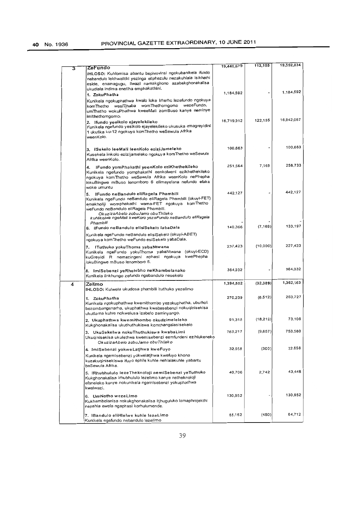| 3 | ZeFundo                                                                                                                                                                                                                                                                                                          | 19,440,679 | 112,155   | 19,552,834 |
|---|------------------------------------------------------------------------------------------------------------------------------------------------------------------------------------------------------------------------------------------------------------------------------------------------------------------|------------|-----------|------------|
|   | IHLOSO: Kuhlomisa abantu bephrovinsi ngokubanikela ifundo<br>nebandulo lekhwalithi yezinga eliphezulu nezakuhlala isikhathi<br>eside, enamagugu, ilwazi namakghono azabakghonakalisa<br>ukudlala indima enetlha emphakathini.<br>1. ZokuPhatha                                                                   | 1,184,592  |           | 1,184,592  |
|   | Kunikela ngokuphathwa kwalo loke irherho lezefundo ngokuya<br>wezeFundo,<br>womThethomgomo<br>komThetho wesiTjhaba<br>umThetho wokuPhathwa kweeMali zomBuso kanye neminye<br>imithethomgomo.                                                                                                                     |            |           |            |
|   | 2. Ifundo yesikolo ejayelekileko<br>Kunikela ngefundo yesikolo ejayelekileko ukusuka emagreyidini<br>1 ukufika ku-12 nookuya komThetho weSewula Afrika<br>weenKolo.                                                                                                                                              | 16,719,912 | 122.155   | 16,842,067 |
|   | 3. ISekelo leeMali leenKolo eziziJameleko<br>Kusekela iinkolo ezizijameleko ngokuya komThetho weSewula<br>Afrika weenKolo.                                                                                                                                                                                       | 100,663    |           | 100,663    |
|   | 4. IFundo yomPhakathi yeenKolo eziKhethekileko<br>Kunikela ngefundo yomphakathi eenkolweni ezikhethekileko<br>ngokuya komThetho weSewula Afrika weenKolo nePhepha<br>lokuBingwe mBuso lenomboro 6 elimayelana nefundo efaka<br>woke umuntu                                                                       | 251,564    | 7,169     | 258,733    |
|   | IFundo neBandulo eliRagela Phambili<br>5.<br>Kunikela ngeFundo neBandulo eliRagela Phambili (okuyi-FET)<br>emakholiji womphakathi wama-FET ngokuya komThetho<br>weFundo neBandulo eliRagela Phambili.<br>OkuzizaAbelo zobuJamo obuThileko<br>kuNikelwa ngeMali kweKoro yezeFundo neBandulo eliRagela<br>Phambili | 442,127    |           | 442.127    |
|   | 6. IFundo neBandulo elisiSekelo labaDala<br>Kunikela ngeFundo neBandulo elisiSekelo (okuyi-ABET)<br>ngokuya komThetho weFundo esiSekelo yabaDala.                                                                                                                                                                | 140,366    | (7, 169)  | 133,197    |
|   | ITuthuko yokuThoma yabaNtwana<br>7.<br>Kunikela ngeFundo yokuThoma yabaNtwana (okuyi-ECD)<br>kwePhepha<br>kuGreyidi R nemazingeni aphasi ngokuya<br>lokuBingwe mBuso lenomboro 5.                                                                                                                                | 237.423    | (10,000)  | 227,423    |
|   | 8. ImiSebenzi yeRhelebho neKhambelanako<br>Kunikela iinkhungo zefundo ngebandulo nesekelo                                                                                                                                                                                                                        | 364,032    |           | 364,032    |
| 4 | Zelimo<br>IHLOSO: Kulwela ukudosa phambili ituthuko yezelimo                                                                                                                                                                                                                                                     | 1,394,552  | (32, 389) | 1,362,163  |
|   | 1. ZokuPhatha<br>Kunikela ngokuphathwa kwemithombo yezokuphatha, uburholi<br>bezombanganarha, ukuphathwa kwabasebenzi nokuqinisekisa<br>ukutlama kuhle nokwelusa izabelo zeminyango.                                                                                                                             | 270,239    | (6.512)   | 263,727    |
|   | 2. Ukuphathwa kwemithombo okudzimeleleko<br>Kukghonakalisa ukuthuthukiswa komthangalasisekelo                                                                                                                                                                                                                    | 91,318     | (18,212)  | 73,106     |
|   | 3. UkuSekelwa nokuThuthukiswa kwabaLimi<br>Ukuginisekisa ukulethwa kwemisebenzi eemfundeni ezihlukeneko<br>OkuzizaAbelo zobuJamo obuThileko                                                                                                                                                                      | 763,217    | (9,657)   | 753,560    |
|   | 4. ImiSebenzi yokweLatjhwa kweFuyo<br>Kunikela ngemisebenzi yokwelatjhwa kwefuyo khona<br>kuzakuqinisekiswa ifuyo ephile kuhle nehlalakuhle yabantu<br>beSewula Afrika.                                                                                                                                          | 32,958     | (300)     | 32,658     |
|   | 5. IRhubhululo lezeTheknoloji nemiSebenzi yeTuthuko<br>Kukghonakalisa irhubhululo lezelimo kanye netheknoloji<br>efaneleko kanye nokunikela ngemisebenzi yokuphathwa<br>kwelwazi.                                                                                                                                | 40,706     | 2,742     | 43,448     |
|   | 6. UmNotho wezeLimo<br>Kukhambelanisa nokukghonakalisa itjhuguluko lamaphrojekthi<br>nepahla ewela ngaphasi korhulumende.                                                                                                                                                                                        | 130,952    |           | 130,952    |
|   | 7. IBandulo eliHlelwe kuhle lezeLimo<br>Kunikela ngefundo nebandulo lezelimo                                                                                                                                                                                                                                     | 65,162     | (450)     | 64.712     |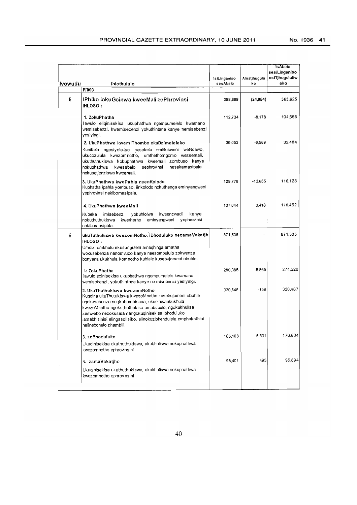|         |                                                                                                                                                                                                                                                                                                                                                 |              |             | <b>IsAbelo</b>                  |
|---------|-------------------------------------------------------------------------------------------------------------------------------------------------------------------------------------------------------------------------------------------------------------------------------------------------------------------------------------------------|--------------|-------------|---------------------------------|
|         |                                                                                                                                                                                                                                                                                                                                                 | IsiLinganiso | Amatjhugulu | sesiLinganiso<br>esiTjhugululiw |
| Ivowudu | <b>Ihlathululo</b>                                                                                                                                                                                                                                                                                                                              | sesAbelo     | ko          | eko                             |
|         | R'000                                                                                                                                                                                                                                                                                                                                           |              |             |                                 |
| 5       | IPhiko lokuGcinwa kweeMali zePhrovinsi<br><b>IHLOSO:</b>                                                                                                                                                                                                                                                                                        | 388,609      | (24, 984)   | 363,625                         |
|         | 1. ZokuPhatha<br>llawulo eliginisekisa ukuphathwa ngempumelelo kwamano<br>wemisebenzi, kwemisebenzi yokuthintana kanye nemisebenzi<br>yesiyingi.                                                                                                                                                                                                | 112,734      | $-8,178$    | 104,556                         |
|         | 2. UkuPhathwa kwemiThombo okuDzimeleleko<br>Kunikela ngesiyeleliso nesekelo emBusweni weNdawo,<br>ukucozulula kwezomnotho, umthethomgomo wezeemali,<br>ukuthuthukiswa kokuphathwa kweemali zombuso kanye<br>nesakamasipala<br>nokuphathwa<br>kwesabelo<br>sephrovinsi<br>nokusetjenziswa kweemali.                                              | 39,053       | $-6,569$    | 32.484                          |
|         | 3. UkuPhathwa kwePahla neenKolodo<br>Kuphatha ipahla yombuso, iinkolodo nokuthenga eminyangweni<br>yephrovinsi nakibomasipala.                                                                                                                                                                                                                  | 129.778      | $-13,655$   | 116,123                         |
|         | 4. UkuPhathwa kweeMali                                                                                                                                                                                                                                                                                                                          | 107,044      | 3,418       | 110,462                         |
|         | kanye<br>Kubeka<br>imisebenzi<br>yokuhlolwa<br>kweencwadi<br>eminyangweni<br>yephrovinsi<br>nokuthuthukiswa<br>kwerherho<br>nakibomasipala.                                                                                                                                                                                                     |              |             |                                 |
| 6       | ukuTuthukiswa kwezomNotho, iBhoduluko nezamaVakatih<br><b>IHLOSO:</b><br>Umsizi omkhulu ekusunguleni amaqhinga amatha<br>wokusebenza nanomvuzo kanye neesombululo zokwenza<br>bonyana ukukhula komnotho kuhlale kusebujameni obuhle.                                                                                                            | 871,535      |             | 871,535                         |
|         | 1: ZokuPhatha<br>llawulo eginisekisa ukuphathwa ngempumelelo kwamano<br>wemisebenzi, yokuthintana kanye ne misebenzi yesiyingi.                                                                                                                                                                                                                 | 280,385      | $-5,865$    | 274,520                         |
|         | 2. UkuThuthukiswa kwezomNotho<br>Kugcina ukuThutukiswa kwezoMnotho kusebujameni obuhle<br>ngokusebenza nogkubambisana, ukuqinisaukukhula<br>kwezoMnotho ngokuthuthukisa amabubulo, ngokukhulisa<br>zerhwebo nezokusisa nangokuqinisekisa ibhoduluko<br>lamabhisinisi elingasolisiko, elinokuziphendulela emphakathini<br>nelinebonelo phambili. | 330,646      | $-159$      | 330,487                         |
|         | 3. zeBhoduluko<br>Ukuqinisekisa ukuthuthukiswa, ukukhuliswa nokuphathwa<br>kwezomnotho ephrovinsini                                                                                                                                                                                                                                             | 165,103      | 5,531       | 170,634                         |
|         | 4. zamaVakatiho                                                                                                                                                                                                                                                                                                                                 | 95,401       | 493         | 95,894                          |
|         | Ukuqinisekisa ukuthuthukiswa, ukukhuliswa nokuphathwa<br>kwezomnotho ephrovinsini                                                                                                                                                                                                                                                               |              |             |                                 |
|         |                                                                                                                                                                                                                                                                                                                                                 |              |             |                                 |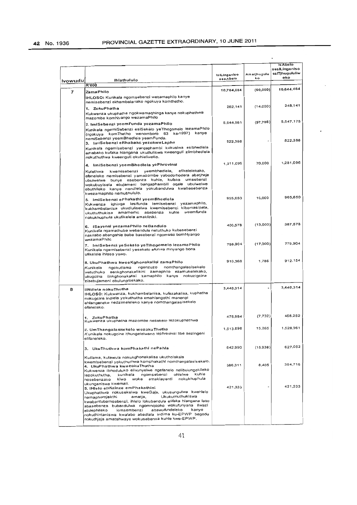l,

|         | Ihlathululo                                                                                                                                                                                                                                                                                                                                                                                                                                                        | IsiLinganiso<br>sesAbelo | Amatjhugulu<br>ko | <b>Is Abelo</b><br>sesiLinganiso<br>esiTjhugululiw<br>eko |
|---------|--------------------------------------------------------------------------------------------------------------------------------------------------------------------------------------------------------------------------------------------------------------------------------------------------------------------------------------------------------------------------------------------------------------------------------------------------------------------|--------------------------|-------------------|-----------------------------------------------------------|
| Ivowudu | <b>R'000</b>                                                                                                                                                                                                                                                                                                                                                                                                                                                       |                          |                   |                                                           |
| 7       | ZamaPhilo<br>IHLOSO: Kunikela ngomsebenzi wezamaphilo kanye<br>nemisebenzi ekhambelanako ngokuya komthetho.                                                                                                                                                                                                                                                                                                                                                        | 10,704,084               | (60,000)          | 10,644,084                                                |
|         | 1. ZokuPhatha<br>Kukwenza ukuphatha ngokwamaqhinga kanye nokuphathwa<br>mazombe komNyango wezamaPhilo                                                                                                                                                                                                                                                                                                                                                              | 262,141                  | (14,000)          | 248,141                                                   |
|         | 2. ImiSebenzi yeemFunda yezamaPhilo<br>Kunikela ngemiSebenzi esiSekelo yeThogomelo lezamaPhilo<br>(ngokuya komThetho wenomboro 63 ka-1997) kanye                                                                                                                                                                                                                                                                                                                   | 5,644,961                | (97, 786)         | 5,547,175                                                 |
|         | nemiSebenzi yeemBhedlela yeemFunda.<br>3. ImiSebenzi eRhabako yezokweLapha<br>Kunikela ngemisebenzi yangaphambi kokusiwa esibhedlela<br>emabako kufaka hlangana ukudluliswa kweenguli ziimbhediela<br>nokuthuthwa kweenguli okuhleliweko.                                                                                                                                                                                                                          | 522,386                  |                   | 522,386                                                   |
|         | 4. ImiSebenzi yeemBhedlela yePhrovinsi<br>efikelelekako,<br>kwemisebenzi yeembhedlela,<br>Kulethwa                                                                                                                                                                                                                                                                                                                                                                 | 1,211,096                | 70,000            | 1,281,096                                                 |
|         | efaneleko nemisebenzi yamazombe yabodorhodera abatjheje<br>ubułwełwe bunye esebenza kuhie, kufaka umsebenzi<br>wokubuyisela ebujameni bangaphambili oqale ubulwelwe<br>obuthileko kanye nendlela yokubandulwa kwabasebenza<br>kwezamaphilo nerhubhululo.                                                                                                                                                                                                           |                          |                   |                                                           |
|         | 5. ImiSebenzi ePhakathi yeemBhedlela<br>Kukwenza iqhinga lesifunda lemisebenzi yezamaphilo,<br>kukhambelanisa ukudluliselwa kwemisebenzi kibomasipala,<br>weemfunda<br>ukuthuthukisa amarherho asebenza kuhle<br>nokukhuphula ukufikelela amakliniki.                                                                                                                                                                                                              | 955,650                  | 10,000            | 965,650                                                   |
|         | 6. ISayensi yezamaPhilo neBandulo<br>Kunikela ngamathuba webandulo netuthuko kubasebenzi<br>nakilabo abangahle babe basebenzi ngomuso bomNyango<br>wezamaPhilo                                                                                                                                                                                                                                                                                                     | 400,578                  | (13,000)          | 387,578                                                   |
|         | 7. ImiSebenzi yeSekelo yeTihogomelo lezamaPhilo<br>Kunikela ngemisebenzi yesekelo efunwa mnyango bona<br>ufikelele ihloso yawo.                                                                                                                                                                                                                                                                                                                                    | 796.904                  | (17,000)          | 779,904                                                   |
|         | 8. UkuPhathwa kweeKghonakalisi zamaPhilo<br>nomthangalasisekelo<br>ngenzuzo<br>Kunikela<br>ngokutlama<br>wetuthuko eenkghonakalisini zamaphilo ezamukelekako,<br>ukugcina iinkghonakatisi zamaphilo kanye nokuzigcina<br>zisebujameni obulungisekako.                                                                                                                                                                                                              | 910,368                  | 1,786             | 912,154                                                   |
| 8       | liNdiela nokuThutha<br>IHLOSO: Kukwenza, kukhambelanisa, kufezakalisa, kuphatha<br>nokugcina indiela yokuthutha emahlangothi manengi<br>ehlangeneko nedzimeleleko kanye nomthangalasisekelo<br>ofaneleko.                                                                                                                                                                                                                                                          | 3,440,314                |                   | 3,440,314                                                 |
|         | 1. ZokuPhatha<br>Kukwenza ukuphatha mazombe nesekelo lezokuphathwa                                                                                                                                                                                                                                                                                                                                                                                                 | 475,984                  | (7, 732)          | 468,252                                                   |
|         | 2. UmThangalasisekelo wezokuThutha<br>Kunikela nokugcina ithungelelwano lephrovinsi libe sezingeni<br>elifaneleko.                                                                                                                                                                                                                                                                                                                                                 | 1,513,696                | 15,265            | 1,528,961                                                 |
|         | 3. UkuThuthwa komPhakathi nePahla                                                                                                                                                                                                                                                                                                                                                                                                                                  | 642,990                  | (15,938)          | 627,052                                                   |
|         | Kutlama, kulawula nokukghonakalisa ukutholakala<br>kwemisebenzi yokuthuthwa komphakathi nomthangalasisekelo.<br>4. UkuPhathwa kwezokuThutha<br>Kukwenza ibhoduluko elivunyelwe ngefanelo nelibulungekileko<br>ngomsebenzi<br>ohlelwe<br>kuhle<br>kunikela<br>lezokuthutha,<br>nokukhuphula<br>woke amaklayenti<br>kiwo<br>nosebenzako                                                                                                                              | 386,311                  | 8,405             | 394,716                                                   |
|         | ukungeniswa kwemali.<br>5. IHleio eliNzinze emPhakathini<br>Ukuphathwa nokusekelwa kweGaja, ukusungulwa kwehlelo<br>Ukukuthuthukiswa<br>amatja,<br>namaphorojekthi<br>kwabantubamsebenzi, ihlelo lokubandula elifaka hlangana labo<br>abasebenza bubandulwa ngomnqopho wokufunyana ilwazi<br>abawufundeleko<br>kanye<br>lomsembenzi<br>elidephileko<br>nokuthintaniswa kwalabo abadlala indima ku-EPWP begodu<br>nokuthjeja amatshwayo wokusebenza kuhle kwe-EPWP. | 421,333                  |                   | 421,333                                                   |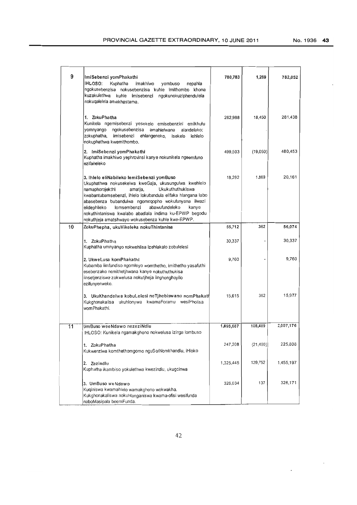No.1936 43

| 9  | ImiSebenzi yomPhakathi<br>IHLOSO:<br>Kuphatha<br>imakhiwo<br>yombuso<br>nepahla<br>ngokusebenzisa nokusebenzisa kuhle imithombo khona<br>kuzakulethwa kuhle imisebenzi<br>ngokunokuziphendulela<br>nokuqalelela amakhastama.                                                                                                                                                                                                                        | 780,783   | 1,269     | 782,052   |
|----|-----------------------------------------------------------------------------------------------------------------------------------------------------------------------------------------------------------------------------------------------------------------------------------------------------------------------------------------------------------------------------------------------------------------------------------------------------|-----------|-----------|-----------|
|    | 1. ZokuPhatha<br>Kunikela ngemisebenzi yesekelo emisebenzini emikhulu<br>ngokusebenzisa<br>amahlelwana<br>alandelako:<br>yomnyango<br>zokuphatha,<br>imisebenzi<br>ehlangeneko,<br>lehlelo<br>isekelo<br>nokuphathwa kwemithombo.                                                                                                                                                                                                                   | 262,988   | 18,450    | 281,438   |
|    | 2. ImiSebenzi yomPhakathi<br>Kuphatha imakhiwo yephrovinsi kanye nokunikela ngeemfuno<br>ezifaneleko                                                                                                                                                                                                                                                                                                                                                | 499,503   | (19,050)  | 480,453   |
|    | 3. ihlelo eliNabileko lemiSebenzi yomBuso<br>Ukuphathwa nokusekelwa kweGaja, ukusungulwa kwehlelo<br>Ukukuthuthukiswa<br>namaphorojekthi<br>amatia,<br>kwabantubamsebenzi, ihielo lokubandula elifaka hiangana labo<br>abasebenza bubandulwa ngomnqopho wokufunyana ilwazi<br>lomsembenzi<br>abawufundeleko<br>kanye<br>elidephileko<br>nokuthintaniswa kwalabo abadlala indima ku-EPWP begodu<br>nokuthjeja amatshwayo wokusebenza kuhle kwe-EPWP. | 18,292    | 1,869     | 20,161    |
| 10 | ZokuPhepha, ukuVikeleka nokuThintanisa                                                                                                                                                                                                                                                                                                                                                                                                              | 55,712    | 362       | 56,074    |
|    | 1. ZokuPhatha<br>Kuphatha umnyango nokwehlisa izehiakalo zobulelesi                                                                                                                                                                                                                                                                                                                                                                                 | 30,337    |           | 30,337    |
|    | 2. UkweLusa komPhakathi<br>Kubamba iimfundiso ngomleyo womthetho, imithetho yasafuthi<br>esebenzako nemithetjhwana kanye nokuthuthukisa<br>iinsetjenziswa zokwelusa nokutjheja iinghonghoyilo<br>ezifunyenweko.                                                                                                                                                                                                                                     | 9,760     |           | 9,760     |
|    | 3. UkuKhandelwa kobuLelesi neTjhebiswano nomPhakatł<br>Kukghonakalisa ukuhlonywa kwamaForamu wesiPholisa<br>womPhakathi.                                                                                                                                                                                                                                                                                                                            | 15,615    | 362       | 15,977    |
| 11 | UmBuso weeNdawo nezeziNdlu<br>IHLOSO: Kunikela ngamakghono nokwelusa izinga lombuso                                                                                                                                                                                                                                                                                                                                                                 | 1,898,687 | 108,489   | 2,007,176 |
|    | 1. ZokuPhatha<br>Kukwenziwa komthethomgomo nguSo/Nomkhandlu, iHloko                                                                                                                                                                                                                                                                                                                                                                                 | 247,208   | (21, 400) | 225,808   |
|    | 2. Zezindlu<br>Kuphatha ikambiso yokulethwa kwezindlu, ukugcinwa                                                                                                                                                                                                                                                                                                                                                                                    | 1,325,445 | 129,752   | 1,455,197 |
|    | 3. UmBuso weNdawo<br>Kuqiniswa kwamahielo wamakghono wokwakha.<br>Kukghonakaliswa nokuhlanganiswa kwama-ofisi wesifunda<br>naboMasipala beemFunda.                                                                                                                                                                                                                                                                                                  | 326,034   | 137       | 326,171   |